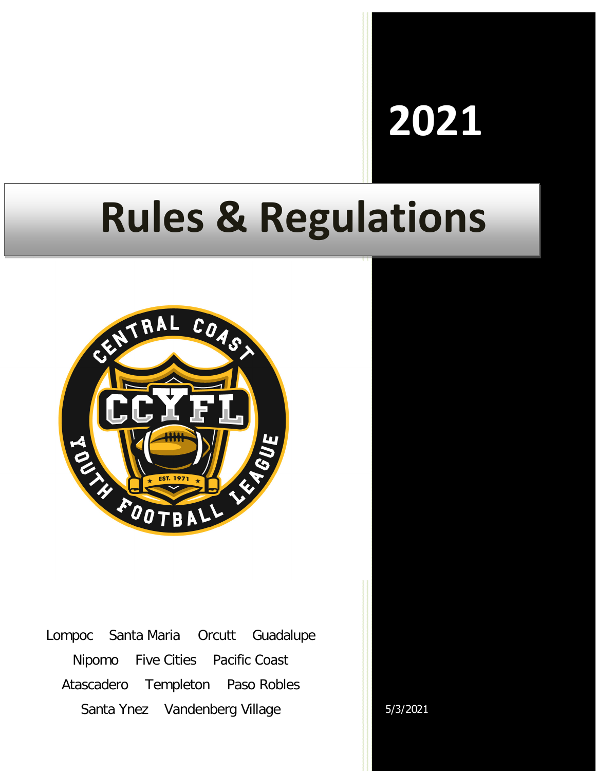# **2021**

# **Rules & Regulations**



Lompoc Santa Maria Orcutt Guadalupe Nipomo Five Cities Pacific Coast Atascadero Templeton Paso Robles Santa Ynez Vandenberg Village 1997 1998 1998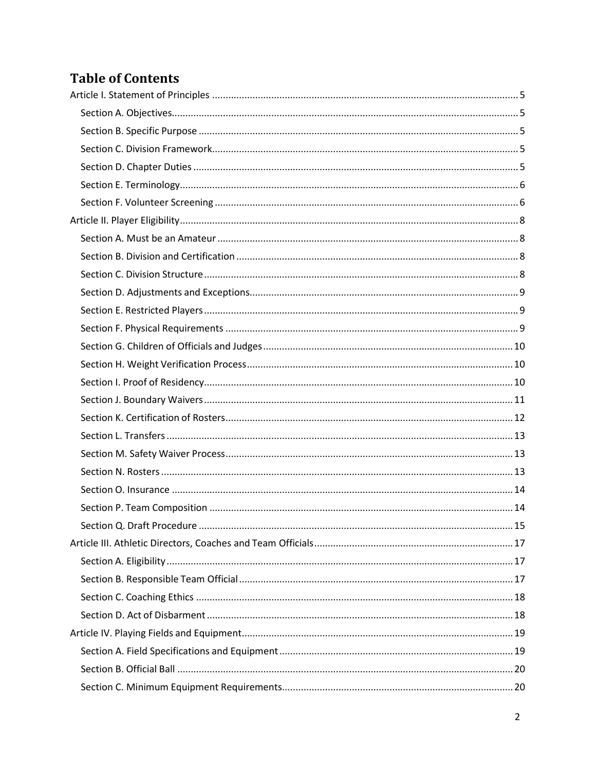# **Table of Contents**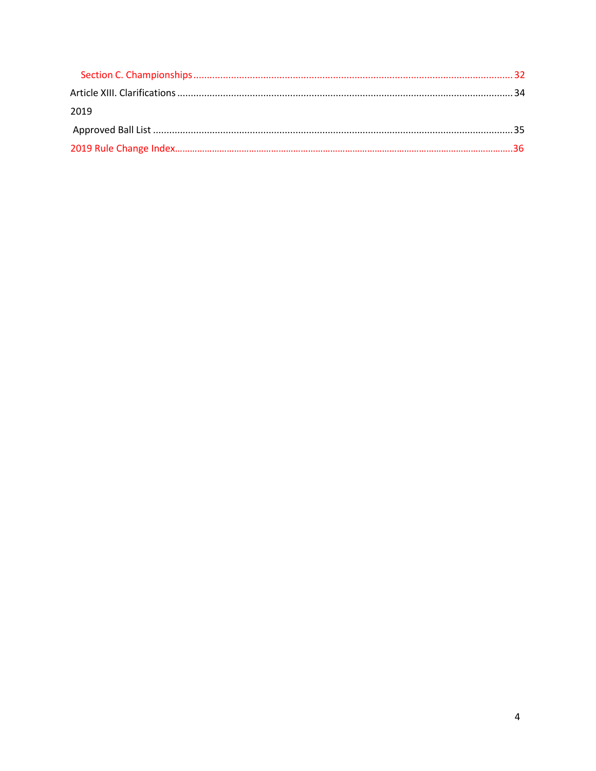| 2019 |  |
|------|--|
|      |  |
|      |  |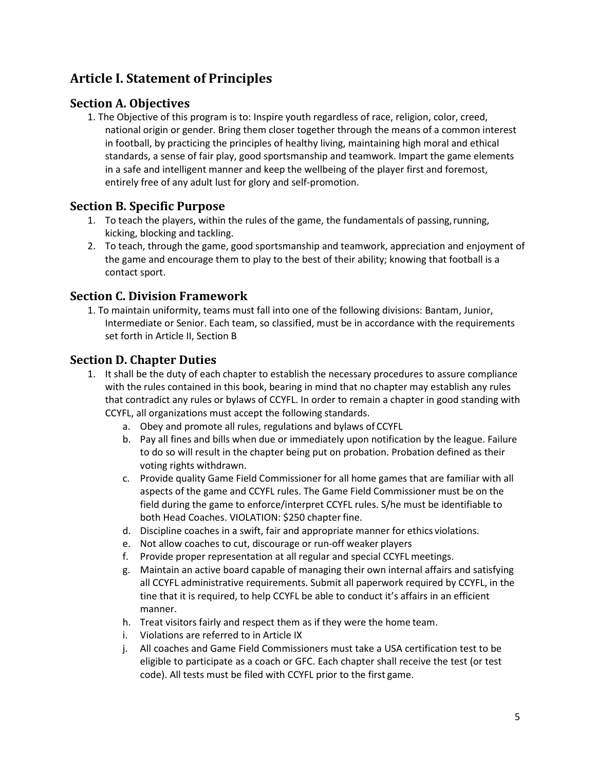# <span id="page-4-0"></span>**Article I. Statement of Principles**

## <span id="page-4-1"></span>**Section A. Objectives**

1. The Objective of this program is to: Inspire youth regardless of race, religion, color, creed, national origin or gender. Bring them closer together through the means of a common interest in football, by practicing the principles of healthy living, maintaining high moral and ethical standards, a sense of fair play, good sportsmanship and teamwork. Impart the game elements in a safe and intelligent manner and keep the wellbeing of the player first and foremost, entirely free of any adult lust for glory and self-promotion.

#### <span id="page-4-2"></span>**Section B. Specific Purpose**

- 1. To teach the players, within the rules of the game, the fundamentals of passing,running, kicking, blocking and tackling.
- 2. To teach, through the game, good sportsmanship and teamwork, appreciation and enjoyment of the game and encourage them to play to the best of their ability; knowing that football is a contact sport.

## <span id="page-4-3"></span>**Section C. Division Framework**

1. To maintain uniformity, teams must fall into one of the following divisions: Bantam, Junior, Intermediate or Senior. Each team, so classified, must be in accordance with the requirements set forth in Article II, Section B

# <span id="page-4-4"></span>**Section D. Chapter Duties**

- 1. It shall be the duty of each chapter to establish the necessary procedures to assure compliance with the rules contained in this book, bearing in mind that no chapter may establish any rules that contradict any rules or bylaws of CCYFL. In order to remain a chapter in good standing with CCYFL, all organizations must accept the following standards.
	- a. Obey and promote all rules, regulations and bylaws of CCYFL
	- b. Pay all fines and bills when due or immediately upon notification by the league. Failure to do so will result in the chapter being put on probation. Probation defined as their voting rights withdrawn.
	- c. Provide quality Game Field Commissioner for all home games that are familiar with all aspects of the game and CCYFL rules. The Game Field Commissioner must be on the field during the game to enforce/interpret CCYFL rules. S/he must be identifiable to both Head Coaches. VIOLATION: \$250 chapter fine.
	- d. Discipline coaches in a swift, fair and appropriate manner for ethics violations.
	- e. Not allow coaches to cut, discourage or run-off weaker players
	- f. Provide proper representation at all regular and special CCYFL meetings.
	- g. Maintain an active board capable of managing their own internal affairs and satisfying all CCYFL administrative requirements. Submit all paperwork required by CCYFL, in the tine that it is required, to help CCYFL be able to conduct it's affairs in an efficient manner.
	- h. Treat visitors fairly and respect them as if they were the home team.
	- i. Violations are referred to in Article IX
	- j. All coaches and Game Field Commissioners must take a USA certification test to be eligible to participate as a coach or GFC. Each chapter shall receive the test (or test code). All tests must be filed with CCYFL prior to the first game.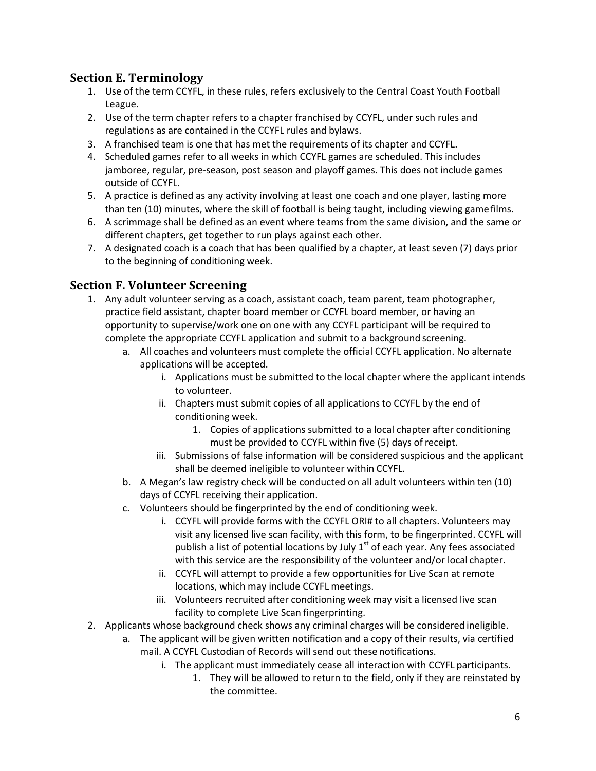## <span id="page-5-0"></span>**Section E. Terminology**

- 1. Use of the term CCYFL, in these rules, refers exclusively to the Central Coast Youth Football League.
- 2. Use of the term chapter refers to a chapter franchised by CCYFL, under such rules and regulations as are contained in the CCYFL rules and bylaws.
- 3. A franchised team is one that has met the requirements of its chapter and CCYFL.
- 4. Scheduled games refer to all weeks in which CCYFL games are scheduled. This includes jamboree, regular, pre-season, post season and playoff games. This does not include games outside of CCYFL.
- 5. A practice is defined as any activity involving at least one coach and one player, lasting more than ten (10) minutes, where the skill of football is being taught, including viewing gamefilms.
- 6. A scrimmage shall be defined as an event where teams from the same division, and the same or different chapters, get together to run plays against each other.
- 7. A designated coach is a coach that has been qualified by a chapter, at least seven (7) days prior to the beginning of conditioning week.

## <span id="page-5-1"></span>**Section F. Volunteer Screening**

- 1. Any adult volunteer serving as a coach, assistant coach, team parent, team photographer, practice field assistant, chapter board member or CCYFL board member, or having an opportunity to supervise/work one on one with any CCYFL participant will be required to complete the appropriate CCYFL application and submit to a background screening.
	- a. All coaches and volunteers must complete the official CCYFL application. No alternate applications will be accepted.
		- i. Applications must be submitted to the local chapter where the applicant intends to volunteer.
		- ii. Chapters must submit copies of all applications to CCYFL by the end of conditioning week.
			- 1. Copies of applications submitted to a local chapter after conditioning must be provided to CCYFL within five (5) days of receipt.
		- iii. Submissions of false information will be considered suspicious and the applicant shall be deemed ineligible to volunteer within CCYFL.
	- b. A Megan's law registry check will be conducted on all adult volunteers within ten (10) days of CCYFL receiving their application.
	- c. Volunteers should be fingerprinted by the end of conditioning week.
		- i. CCYFL will provide forms with the CCYFL ORI# to all chapters. Volunteers may visit any licensed live scan facility, with this form, to be fingerprinted. CCYFL will publish a list of potential locations by July  $1<sup>st</sup>$  of each year. Any fees associated with this service are the responsibility of the volunteer and/or local chapter.
		- ii. CCYFL will attempt to provide a few opportunities for Live Scan at remote locations, which may include CCYFL meetings.
		- iii. Volunteers recruited after conditioning week may visit a licensed live scan facility to complete Live Scan fingerprinting.
- 2. Applicants whose background check shows any criminal charges will be considered ineligible.
	- a. The applicant will be given written notification and a copy of their results, via certified mail. A CCYFL Custodian of Records will send out these notifications.
		- i. The applicant must immediately cease all interaction with CCYFL participants.
			- 1. They will be allowed to return to the field, only if they are reinstated by the committee.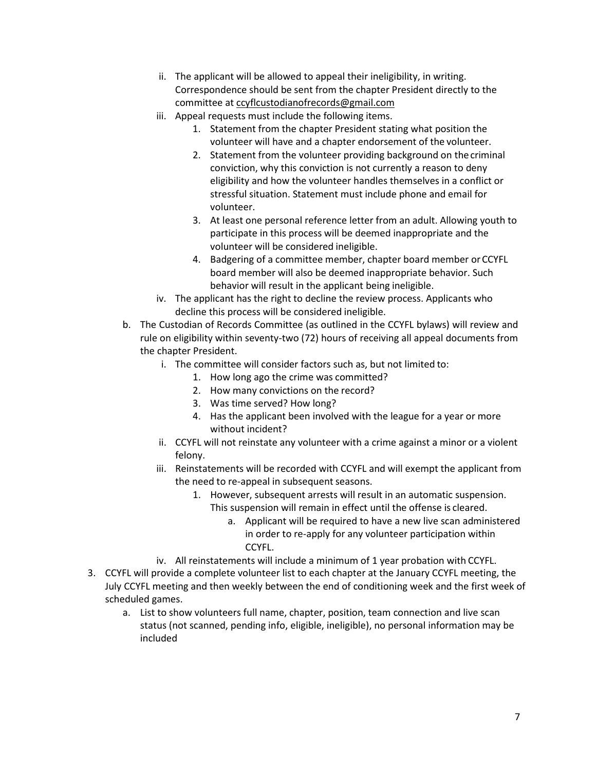- ii. The applicant will be allowed to appeal their ineligibility, in writing. Correspondence should be sent from the chapter President directly to the committee at [ccyflcustodianofrecords@gmail.com](mailto:ccyflcustodianofrecords@gmail.com)
- iii. Appeal requests must include the following items.
	- 1. Statement from the chapter President stating what position the volunteer will have and a chapter endorsement of the volunteer.
	- 2. Statement from the volunteer providing background on thecriminal conviction, why this conviction is not currently a reason to deny eligibility and how the volunteer handles themselves in a conflict or stressful situation. Statement must include phone and email for volunteer.
	- 3. At least one personal reference letter from an adult. Allowing youth to participate in this process will be deemed inappropriate and the volunteer will be considered ineligible.
	- 4. Badgering of a committee member, chapter board member orCCYFL board member will also be deemed inappropriate behavior. Such behavior will result in the applicant being ineligible.
- iv. The applicant has the right to decline the review process. Applicants who decline this process will be considered ineligible.
- b. The Custodian of Records Committee (as outlined in the CCYFL bylaws) will review and rule on eligibility within seventy-two (72) hours of receiving all appeal documents from the chapter President.
	- i. The committee will consider factors such as, but not limited to:
		- 1. How long ago the crime was committed?
		- 2. How many convictions on the record?
		- 3. Was time served? How long?
		- 4. Has the applicant been involved with the league for a year or more without incident?
	- ii. CCYFL will not reinstate any volunteer with a crime against a minor or a violent felony.
	- iii. Reinstatements will be recorded with CCYFL and will exempt the applicant from the need to re-appeal in subsequent seasons.
		- 1. However, subsequent arrests will result in an automatic suspension. This suspension will remain in effect until the offense is cleared.
			- a. Applicant will be required to have a new live scan administered in order to re-apply for any volunteer participation within CCYFL.
	- iv. All reinstatements will include a minimum of 1 year probation with CCYFL.
- 3. CCYFL will provide a complete volunteer list to each chapter at the January CCYFL meeting, the July CCYFL meeting and then weekly between the end of conditioning week and the first week of scheduled games.
	- a. List to show volunteers full name, chapter, position, team connection and live scan status (not scanned, pending info, eligible, ineligible), no personal information may be included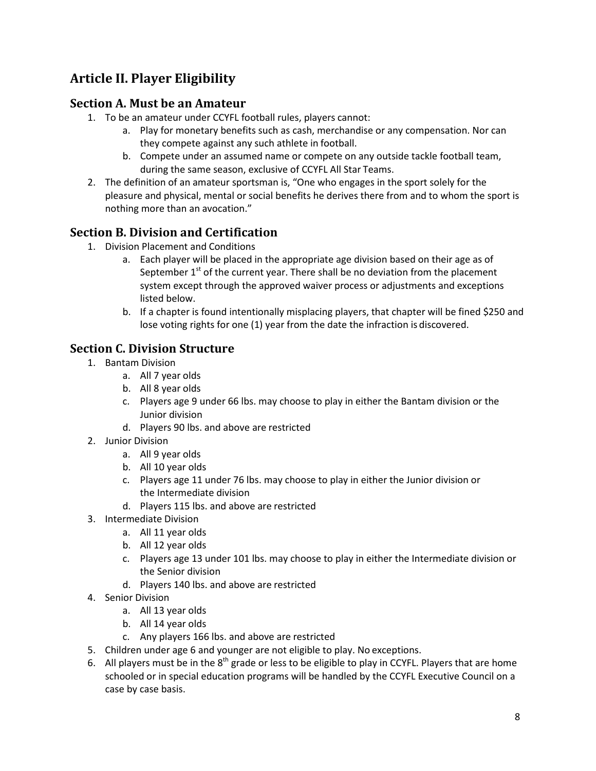# <span id="page-7-1"></span><span id="page-7-0"></span>**Article II. Player Eligibility**

## **Section A. Must be an Amateur**

- 1. To be an amateur under CCYFL football rules, players cannot:
	- a. Play for monetary benefits such as cash, merchandise or any compensation. Nor can they compete against any such athlete in football.
	- b. Compete under an assumed name or compete on any outside tackle football team, during the same season, exclusive of CCYFL All Star Teams.
- 2. The definition of an amateur sportsman is, "One who engages in the sport solely for the pleasure and physical, mental or social benefits he derives there from and to whom the sport is nothing more than an avocation."

# <span id="page-7-2"></span>**Section B. Division and Certification**

- 1. Division Placement and Conditions
	- a. Each player will be placed in the appropriate age division based on their age as of September  $1<sup>st</sup>$  of the current year. There shall be no deviation from the placement system except through the approved waiver process or adjustments and exceptions listed below.
	- b. If a chapter is found intentionally misplacing players, that chapter will be fined \$250 and lose voting rights for one (1) year from the date the infraction is discovered.

# <span id="page-7-3"></span>**Section C. Division Structure**

- 1. Bantam Division
	- a. All 7 year olds
	- b. All 8 year olds
	- c. Players age 9 under 66 lbs. may choose to play in either the Bantam division or the Junior division
	- d. Players 90 lbs. and above are restricted
- 2. Junior Division
	- a. All 9 year olds
	- b. All 10 year olds
	- c. Players age 11 under 76 lbs. may choose to play in either the Junior division or the Intermediate division
	- d. Players 115 lbs. and above are restricted
- 3. Intermediate Division
	- a. All 11 year olds
	- b. All 12 year olds
	- c. Players age 13 under 101 lbs. may choose to play in either the Intermediate division or the Senior division
	- d. Players 140 lbs. and above are restricted
- 4. Senior Division
	- a. All 13 year olds
	- b. All 14 year olds
	- c. Any players 166 lbs. and above are restricted
- 5. Children under age 6 and younger are not eligible to play. No exceptions.
- 6. All players must be in the  $8<sup>th</sup>$  grade or less to be eligible to play in CCYFL. Players that are home schooled or in special education programs will be handled by the CCYFL Executive Council on a case by case basis.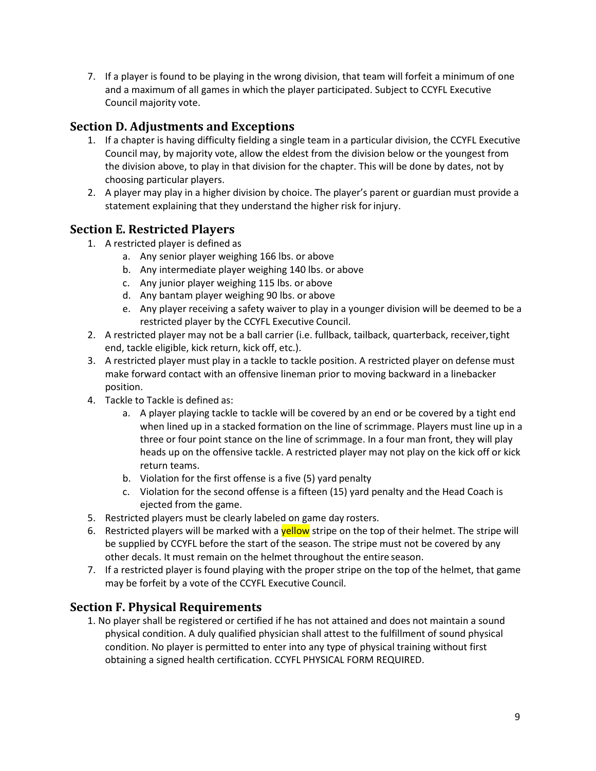7. If a player is found to be playing in the wrong division, that team will forfeit a minimum of one and a maximum of all games in which the player participated. Subject to CCYFL Executive Council majority vote.

#### <span id="page-8-0"></span>**Section D. Adjustments and Exceptions**

- 1. If a chapter is having difficulty fielding a single team in a particular division, the CCYFL Executive Council may, by majority vote, allow the eldest from the division below or the youngest from the division above, to play in that division for the chapter. This will be done by dates, not by choosing particular players.
- 2. A player may play in a higher division by choice. The player's parent or guardian must provide a statement explaining that they understand the higher risk forinjury.

## <span id="page-8-1"></span>**Section E. Restricted Players**

- 1. A restricted player is defined as
	- a. Any senior player weighing 166 lbs. or above
	- b. Any intermediate player weighing 140 lbs. or above
	- c. Any junior player weighing 115 lbs. or above
	- d. Any bantam player weighing 90 lbs. or above
	- e. Any player receiving a safety waiver to play in a younger division will be deemed to be a restricted player by the CCYFL Executive Council.
- 2. A restricted player may not be a ball carrier (i.e. fullback, tailback, quarterback, receiver,tight end, tackle eligible, kick return, kick off, etc.).
- 3. A restricted player must play in a tackle to tackle position. A restricted player on defense must make forward contact with an offensive lineman prior to moving backward in a linebacker position.
- 4. Tackle to Tackle is defined as:
	- a. A player playing tackle to tackle will be covered by an end or be covered by a tight end when lined up in a stacked formation on the line of scrimmage. Players must line up in a three or four point stance on the line of scrimmage. In a four man front, they will play heads up on the offensive tackle. A restricted player may not play on the kick off or kick return teams.
	- b. Violation for the first offense is a five (5) yard penalty
	- c. Violation for the second offense is a fifteen (15) yard penalty and the Head Coach is ejected from the game.
- 5. Restricted players must be clearly labeled on game day rosters.
- 6. Restricted players will be marked with a **yellow** stripe on the top of their helmet. The stripe will be supplied by CCYFL before the start of the season. The stripe must not be covered by any other decals. It must remain on the helmet throughout the entire season.
- 7. If a restricted player is found playing with the proper stripe on the top of the helmet, that game may be forfeit by a vote of the CCYFL Executive Council.

#### <span id="page-8-2"></span>**Section F. Physical Requirements**

1. No player shall be registered or certified if he has not attained and does not maintain a sound physical condition. A duly qualified physician shall attest to the fulfillment of sound physical condition. No player is permitted to enter into any type of physical training without first obtaining a signed health certification. CCYFL PHYSICAL FORM REQUIRED.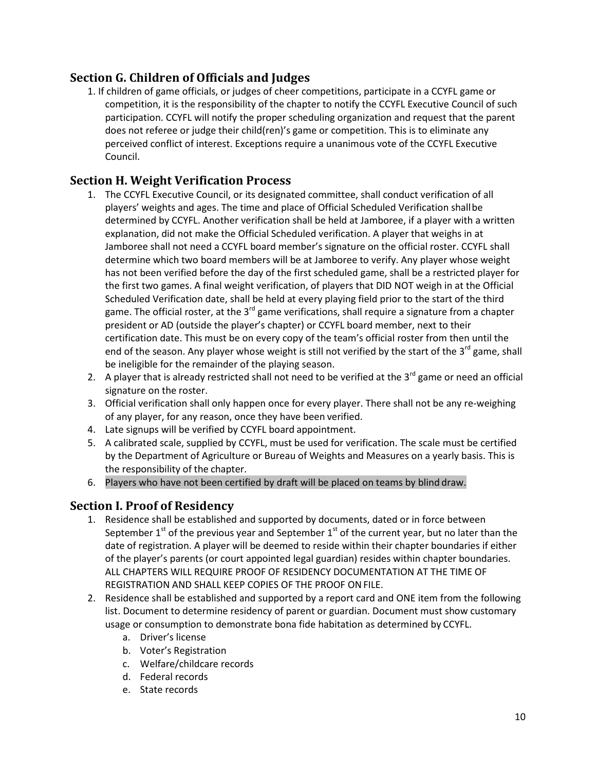## <span id="page-9-0"></span>**Section G. Children of Officials and Judges**

1. If children of game officials, or judges of cheer competitions, participate in a CCYFL game or competition, it is the responsibility of the chapter to notify the CCYFL Executive Council of such participation. CCYFL will notify the proper scheduling organization and request that the parent does not referee or judge their child(ren)'s game or competition. This is to eliminate any perceived conflict of interest. Exceptions require a unanimous vote of the CCYFL Executive Council.

## <span id="page-9-1"></span>**Section H. Weight Verification Process**

- 1. The CCYFL Executive Council, or its designated committee, shall conduct verification of all players' weights and ages. The time and place of Official Scheduled Verification shallbe determined by CCYFL. Another verification shall be held at Jamboree, if a player with a written explanation, did not make the Official Scheduled verification. A player that weighs in at Jamboree shall not need a CCYFL board member's signature on the official roster. CCYFL shall determine which two board members will be at Jamboree to verify. Any player whose weight has not been verified before the day of the first scheduled game, shall be a restricted player for the first two games. A final weight verification, of players that DID NOT weigh in at the Official Scheduled Verification date, shall be held at every playing field prior to the start of the third game. The official roster, at the  $3^{rd}$  game verifications, shall require a signature from a chapter president or AD (outside the player's chapter) or CCYFL board member, next to their certification date. This must be on every copy of the team's official roster from then until the end of the season. Any player whose weight is still not verified by the start of the 3<sup>rd</sup> game, shall be ineligible for the remainder of the playing season.
- 2. A player that is already restricted shall not need to be verified at the  $3^{rd}$  game or need an official signature on the roster.
- 3. Official verification shall only happen once for every player. There shall not be any re-weighing of any player, for any reason, once they have been verified.
- 4. Late signups will be verified by CCYFL board appointment.
- 5. A calibrated scale, supplied by CCYFL, must be used for verification. The scale must be certified by the Department of Agriculture or Bureau of Weights and Measures on a yearly basis. This is the responsibility of the chapter.
- 6. Players who have not been certified by draft will be placed on teams by blind draw.

#### <span id="page-9-2"></span>**Section I. Proof of Residency**

- 1. Residence shall be established and supported by documents, dated or in force between September  $1<sup>st</sup>$  of the previous year and September  $1<sup>st</sup>$  of the current year, but no later than the date of registration. A player will be deemed to reside within their chapter boundaries if either of the player's parents (or court appointed legal guardian) resides within chapter boundaries. ALL CHAPTERS WILL REQUIRE PROOF OF RESIDENCY DOCUMENTATION AT THE TIME OF REGISTRATION AND SHALL KEEP COPIES OF THE PROOF ONFILE.
- 2. Residence shall be established and supported by a report card and ONE item from the following list. Document to determine residency of parent or guardian. Document must show customary usage or consumption to demonstrate bona fide habitation as determined by CCYFL.
	- a. Driver's license
	- b. Voter's Registration
	- c. Welfare/childcare records
	- d. Federal records
	- e. State records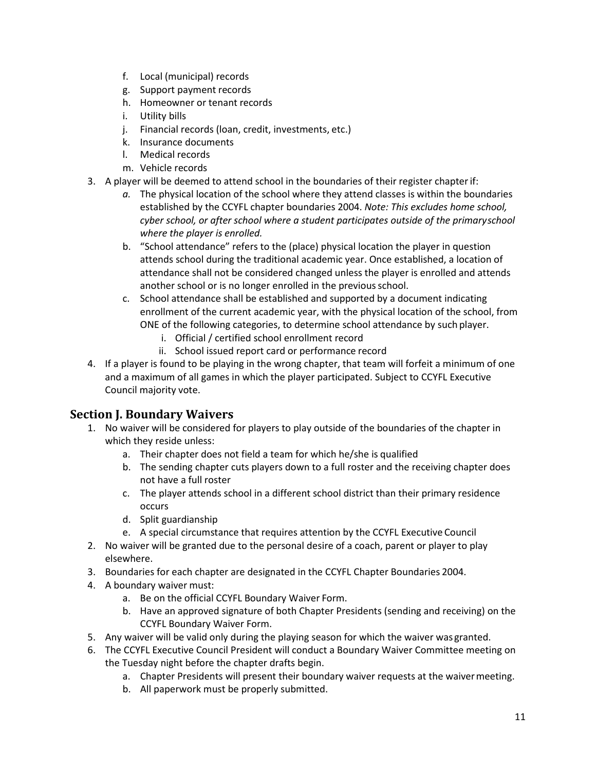- f. Local (municipal) records
- g. Support payment records
- h. Homeowner or tenant records
- i. Utility bills
- j. Financial records (loan, credit, investments, etc.)
- k. Insurance documents
- l. Medical records
- m. Vehicle records
- 3. A player will be deemed to attend school in the boundaries of their register chapterif:
	- *a.* The physical location of the school where they attend classes is within the boundaries established by the CCYFL chapter boundaries 2004. *Note: This excludes home school, cyber school, or after school where a student participates outside of the primaryschool where the player is enrolled.*
	- b. "School attendance" refers to the (place) physical location the player in question attends school during the traditional academic year. Once established, a location of attendance shall not be considered changed unless the player is enrolled and attends another school or is no longer enrolled in the previous school.
	- c. School attendance shall be established and supported by a document indicating enrollment of the current academic year, with the physical location of the school, from ONE of the following categories, to determine school attendance by such player.
		- i. Official / certified school enrollment record
		- ii. School issued report card or performance record
- 4. If a player is found to be playing in the wrong chapter, that team will forfeit a minimum of one and a maximum of all games in which the player participated. Subject to CCYFL Executive Council majority vote.

#### <span id="page-10-0"></span>**Section J. Boundary Waivers**

- 1. No waiver will be considered for players to play outside of the boundaries of the chapter in which they reside unless:
	- a. Their chapter does not field a team for which he/she is qualified
	- b. The sending chapter cuts players down to a full roster and the receiving chapter does not have a full roster
	- c. The player attends school in a different school district than their primary residence occurs
	- d. Split guardianship
	- e. A special circumstance that requires attention by the CCYFL Executive Council
- 2. No waiver will be granted due to the personal desire of a coach, parent or player to play elsewhere.
- 3. Boundaries for each chapter are designated in the CCYFL Chapter Boundaries 2004.
- 4. A boundary waiver must:
	- a. Be on the official CCYFL Boundary Waiver Form.
	- b. Have an approved signature of both Chapter Presidents (sending and receiving) on the CCYFL Boundary Waiver Form.
- 5. Any waiver will be valid only during the playing season for which the waiver was granted.
- 6. The CCYFL Executive Council President will conduct a Boundary Waiver Committee meeting on the Tuesday night before the chapter drafts begin.
	- a. Chapter Presidents will present their boundary waiver requests at the waivermeeting.
	- b. All paperwork must be properly submitted.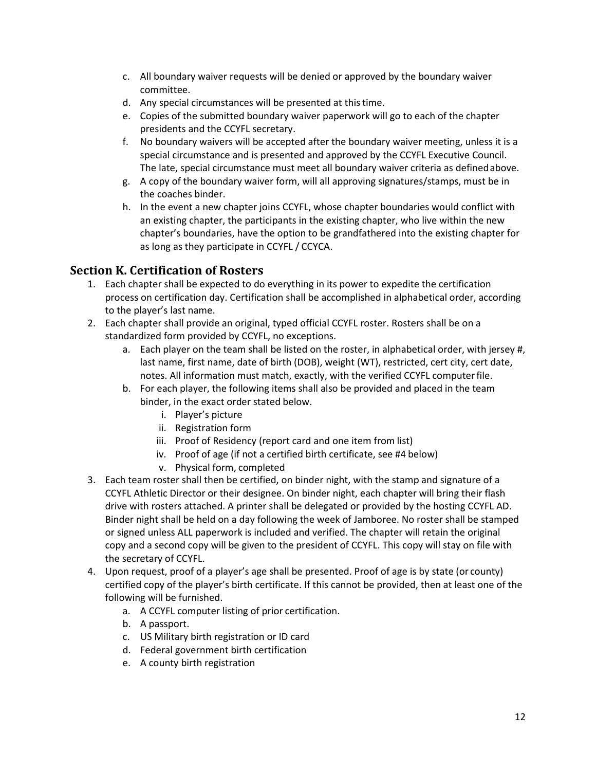- c. All boundary waiver requests will be denied or approved by the boundary waiver committee.
- d. Any special circumstances will be presented at thistime.
- e. Copies of the submitted boundary waiver paperwork will go to each of the chapter presidents and the CCYFL secretary.
- f. No boundary waivers will be accepted after the boundary waiver meeting, unless it is a special circumstance and is presented and approved by the CCYFL Executive Council. The late, special circumstance must meet all boundary waiver criteria as definedabove.
- g. A copy of the boundary waiver form, will all approving signatures/stamps, must be in the coaches binder.
- h. In the event a new chapter joins CCYFL, whose chapter boundaries would conflict with an existing chapter, the participants in the existing chapter, who live within the new chapter's boundaries, have the option to be grandfathered into the existing chapter for as long as they participate in CCYFL / CCYCA.

#### <span id="page-11-0"></span>**Section K. Certification of Rosters**

- 1. Each chapter shall be expected to do everything in its power to expedite the certification process on certification day. Certification shall be accomplished in alphabetical order, according to the player's last name.
- 2. Each chapter shall provide an original, typed official CCYFL roster. Rosters shall be on a standardized form provided by CCYFL, no exceptions.
	- a. Each player on the team shall be listed on the roster, in alphabetical order, with jersey #, last name, first name, date of birth (DOB), weight (WT), restricted, cert city, cert date, notes. All information must match, exactly, with the verified CCYFL computerfile.
	- b. For each player, the following items shall also be provided and placed in the team binder, in the exact order stated below.
		- i. Player's picture
		- ii. Registration form
		- iii. Proof of Residency (report card and one item from list)
		- iv. Proof of age (if not a certified birth certificate, see #4 below)
		- v. Physical form, completed
- 3. Each team roster shall then be certified, on binder night, with the stamp and signature of a CCYFL Athletic Director or their designee. On binder night, each chapter will bring their flash drive with rosters attached. A printer shall be delegated or provided by the hosting CCYFL AD. Binder night shall be held on a day following the week of Jamboree. No roster shall be stamped or signed unless ALL paperwork is included and verified. The chapter will retain the original copy and a second copy will be given to the president of CCYFL. This copy will stay on file with the secretary of CCYFL.
- 4. Upon request, proof of a player's age shall be presented. Proof of age is by state (or county) certified copy of the player's birth certificate. If this cannot be provided, then at least one of the following will be furnished.
	- a. A CCYFL computer listing of prior certification.
	- b. A passport.
	- c. US Military birth registration or ID card
	- d. Federal government birth certification
	- e. A county birth registration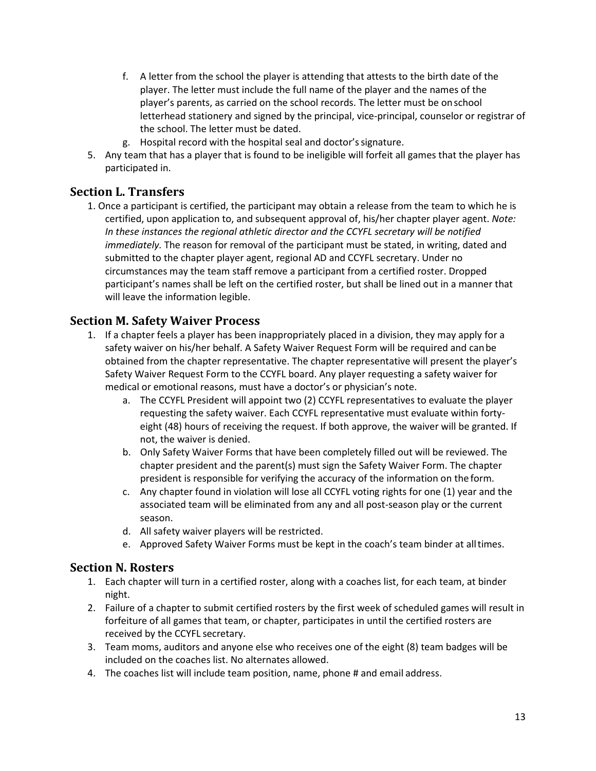- f. A letter from the school the player is attending that attests to the birth date of the player. The letter must include the full name of the player and the names of the player's parents, as carried on the school records. The letter must be onschool letterhead stationery and signed by the principal, vice-principal, counselor or registrar of the school. The letter must be dated.
- g. Hospital record with the hospital seal and doctor'ssignature.
- 5. Any team that has a player that is found to be ineligible will forfeit all games that the player has participated in.

#### <span id="page-12-0"></span>**Section L. Transfers**

1. Once a participant is certified, the participant may obtain a release from the team to which he is certified, upon application to, and subsequent approval of, his/her chapter player agent. *Note: In these instances the regional athletic director and the CCYFL secretary will be notified immediately.* The reason for removal of the participant must be stated, in writing, dated and submitted to the chapter player agent, regional AD and CCYFL secretary. Under no circumstances may the team staff remove a participant from a certified roster. Dropped participant's names shall be left on the certified roster, but shall be lined out in a manner that will leave the information legible.

#### <span id="page-12-1"></span>**Section M. Safety Waiver Process**

- 1. If a chapter feels a player has been inappropriately placed in a division, they may apply for a safety waiver on his/her behalf. A Safety Waiver Request Form will be required and canbe obtained from the chapter representative. The chapter representative will present the player's Safety Waiver Request Form to the CCYFL board. Any player requesting a safety waiver for medical or emotional reasons, must have a doctor's or physician's note.
	- a. The CCYFL President will appoint two (2) CCYFL representatives to evaluate the player requesting the safety waiver. Each CCYFL representative must evaluate within fortyeight (48) hours of receiving the request. If both approve, the waiver will be granted. If not, the waiver is denied.
	- b. Only Safety Waiver Forms that have been completely filled out will be reviewed. The chapter president and the parent(s) must sign the Safety Waiver Form. The chapter president is responsible for verifying the accuracy of the information on the form.
	- c. Any chapter found in violation will lose all CCYFL voting rights for one (1) year and the associated team will be eliminated from any and all post-season play or the current season.
	- d. All safety waiver players will be restricted.
	- e. Approved Safety Waiver Forms must be kept in the coach's team binder at alltimes.

#### <span id="page-12-2"></span>**Section N. Rosters**

- 1. Each chapter will turn in a certified roster, along with a coaches list, for each team, at binder night.
- 2. Failure of a chapter to submit certified rosters by the first week of scheduled games will result in forfeiture of all games that team, or chapter, participates in until the certified rosters are received by the CCYFL secretary.
- 3. Team moms, auditors and anyone else who receives one of the eight (8) team badges will be included on the coaches list. No alternates allowed.
- 4. The coaches list will include team position, name, phone # and email address.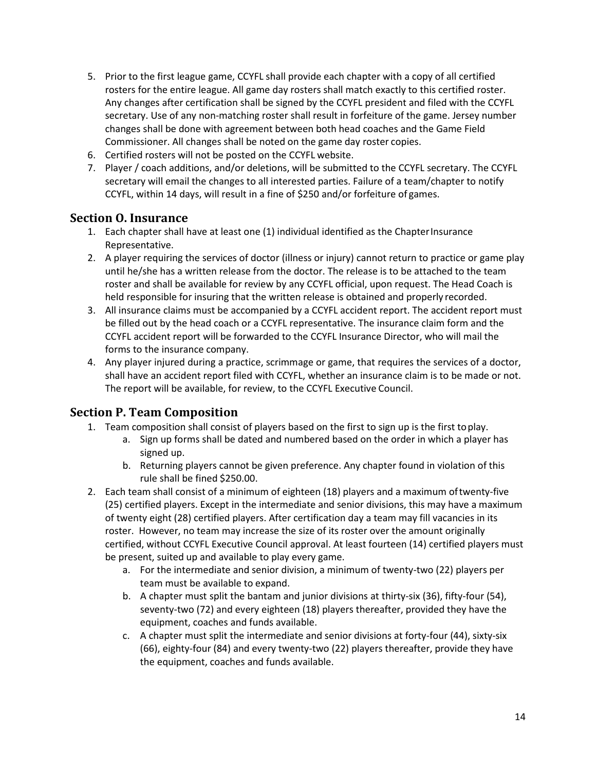- 5. Prior to the first league game, CCYFL shall provide each chapter with a copy of all certified rosters for the entire league. All game day rosters shall match exactly to this certified roster. Any changes after certification shall be signed by the CCYFL president and filed with the CCYFL secretary. Use of any non-matching roster shall result in forfeiture of the game. Jersey number changes shall be done with agreement between both head coaches and the Game Field Commissioner. All changes shall be noted on the game day roster copies.
- 6. Certified rosters will not be posted on the CCYFL website.
- 7. Player / coach additions, and/or deletions, will be submitted to the CCYFL secretary. The CCYFL secretary will email the changes to all interested parties. Failure of a team/chapter to notify CCYFL, within 14 days, will result in a fine of \$250 and/or forfeiture of games.

#### <span id="page-13-0"></span>**Section O. Insurance**

- 1. Each chapter shall have at least one (1) individual identified as the ChapterInsurance Representative.
- 2. A player requiring the services of doctor (illness or injury) cannot return to practice or game play until he/she has a written release from the doctor. The release is to be attached to the team roster and shall be available for review by any CCYFL official, upon request. The Head Coach is held responsible for insuring that the written release is obtained and properly recorded.
- 3. All insurance claims must be accompanied by a CCYFL accident report. The accident report must be filled out by the head coach or a CCYFL representative. The insurance claim form and the CCYFL accident report will be forwarded to the CCYFL Insurance Director, who will mail the forms to the insurance company.
- 4. Any player injured during a practice, scrimmage or game, that requires the services of a doctor, shall have an accident report filed with CCYFL, whether an insurance claim is to be made or not. The report will be available, for review, to the CCYFL Executive Council.

#### <span id="page-13-1"></span>**Section P. Team Composition**

- 1. Team composition shall consist of players based on the first to sign up is the first toplay.
	- a. Sign up forms shall be dated and numbered based on the order in which a player has signed up.
	- b. Returning players cannot be given preference. Any chapter found in violation of this rule shall be fined \$250.00.
- 2. Each team shall consist of a minimum of eighteen (18) players and a maximum oftwenty-five (25) certified players. Except in the intermediate and senior divisions, this may have a maximum of twenty eight (28) certified players. After certification day a team may fill vacancies in its roster. However, no team may increase the size of its roster over the amount originally certified, without CCYFL Executive Council approval. At least fourteen (14) certified players must be present, suited up and available to play every game.
	- a. For the intermediate and senior division, a minimum of twenty-two (22) players per team must be available to expand.
	- b. A chapter must split the bantam and junior divisions at thirty-six (36), fifty-four (54), seventy-two (72) and every eighteen (18) players thereafter, provided they have the equipment, coaches and funds available.
	- c. A chapter must split the intermediate and senior divisions at forty-four (44), sixty-six (66), eighty-four (84) and every twenty-two (22) players thereafter, provide they have the equipment, coaches and funds available.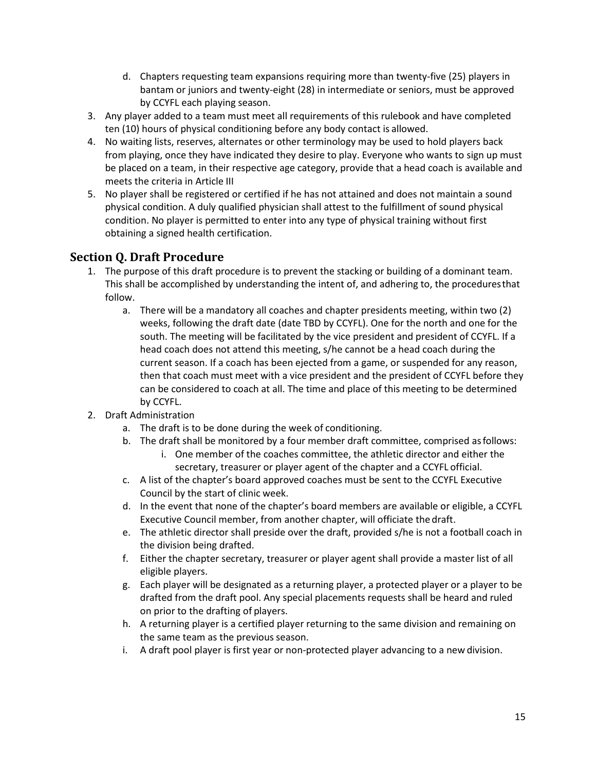- d. Chapters requesting team expansions requiring more than twenty-five (25) players in bantam or juniors and twenty-eight (28) in intermediate or seniors, must be approved by CCYFL each playing season.
- 3. Any player added to a team must meet all requirements of this rulebook and have completed ten (10) hours of physical conditioning before any body contact is allowed.
- 4. No waiting lists, reserves, alternates or other terminology may be used to hold players back from playing, once they have indicated they desire to play. Everyone who wants to sign up must be placed on a team, in their respective age category, provide that a head coach is available and meets the criteria in Article III
- 5. No player shall be registered or certified if he has not attained and does not maintain a sound physical condition. A duly qualified physician shall attest to the fulfillment of sound physical condition. No player is permitted to enter into any type of physical training without first obtaining a signed health certification.

#### <span id="page-14-0"></span>**Section Q. Draft Procedure**

- 1. The purpose of this draft procedure is to prevent the stacking or building of a dominant team. This shall be accomplished by understanding the intent of, and adhering to, the proceduresthat follow.
	- a. There will be a mandatory all coaches and chapter presidents meeting, within two (2) weeks, following the draft date (date TBD by CCYFL). One for the north and one for the south. The meeting will be facilitated by the vice president and president of CCYFL. If a head coach does not attend this meeting, s/he cannot be a head coach during the current season. If a coach has been ejected from a game, or suspended for any reason, then that coach must meet with a vice president and the president of CCYFL before they can be considered to coach at all. The time and place of this meeting to be determined by CCYFL.
- 2. Draft Administration
	- a. The draft is to be done during the week of conditioning.
	- b. The draft shall be monitored by a four member draft committee, comprised asfollows:
		- i. One member of the coaches committee, the athletic director and either the secretary, treasurer or player agent of the chapter and a CCYFL official.
	- c. A list of the chapter's board approved coaches must be sent to the CCYFL Executive Council by the start of clinic week.
	- d. In the event that none of the chapter's board members are available or eligible, a CCYFL Executive Council member, from another chapter, will officiate the draft.
	- e. The athletic director shall preside over the draft, provided s/he is not a football coach in the division being drafted.
	- f. Either the chapter secretary, treasurer or player agent shall provide a master list of all eligible players.
	- g. Each player will be designated as a returning player, a protected player or a player to be drafted from the draft pool. Any special placements requests shall be heard and ruled on prior to the drafting of players.
	- h. A returning player is a certified player returning to the same division and remaining on the same team as the previous season.
	- i. A draft pool player is first year or non-protected player advancing to a new division.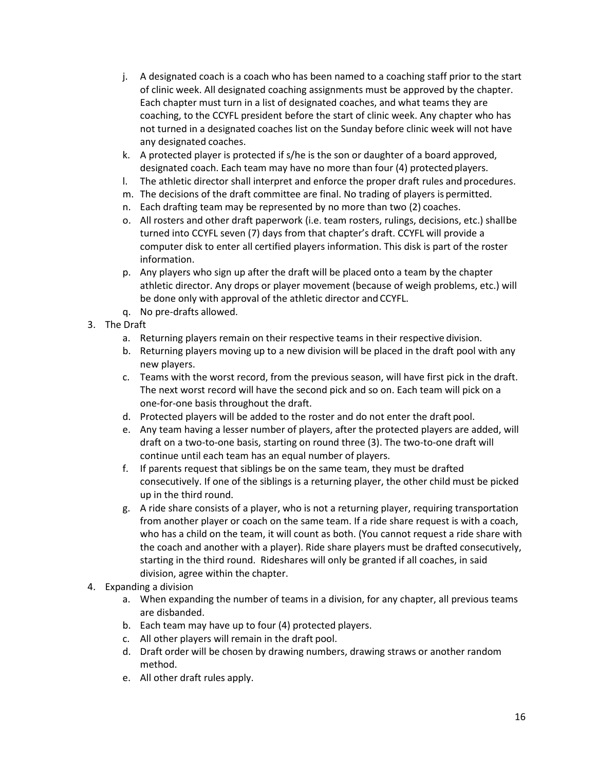- j. A designated coach is a coach who has been named to a coaching staff prior to the start of clinic week. All designated coaching assignments must be approved by the chapter. Each chapter must turn in a list of designated coaches, and what teams they are coaching, to the CCYFL president before the start of clinic week. Any chapter who has not turned in a designated coaches list on the Sunday before clinic week will not have any designated coaches.
- k. A protected player is protected if s/he is the son or daughter of a board approved, designated coach. Each team may have no more than four (4) protected players.
- l. The athletic director shall interpret and enforce the proper draft rules and procedures.
- m. The decisions of the draft committee are final. No trading of players is permitted.
- n. Each drafting team may be represented by no more than two (2) coaches.
- o. All rosters and other draft paperwork (i.e. team rosters, rulings, decisions, etc.) shallbe turned into CCYFL seven (7) days from that chapter's draft. CCYFL will provide a computer disk to enter all certified players information. This disk is part of the roster information.
- p. Any players who sign up after the draft will be placed onto a team by the chapter athletic director. Any drops or player movement (because of weigh problems, etc.) will be done only with approval of the athletic director and CCYFL.
- q. No pre-drafts allowed.
- 3. The Draft
	- a. Returning players remain on their respective teams in their respective division.
	- b. Returning players moving up to a new division will be placed in the draft pool with any new players.
	- c. Teams with the worst record, from the previous season, will have first pick in the draft. The next worst record will have the second pick and so on. Each team will pick on a one-for-one basis throughout the draft.
	- d. Protected players will be added to the roster and do not enter the draft pool.
	- e. Any team having a lesser number of players, after the protected players are added, will draft on a two-to-one basis, starting on round three (3). The two-to-one draft will continue until each team has an equal number of players.
	- f. If parents request that siblings be on the same team, they must be drafted consecutively. If one of the siblings is a returning player, the other child must be picked up in the third round.
	- g. A ride share consists of a player, who is not a returning player, requiring transportation from another player or coach on the same team. If a ride share request is with a coach, who has a child on the team, it will count as both. (You cannot request a ride share with the coach and another with a player). Ride share players must be drafted consecutively, starting in the third round. Rideshares will only be granted if all coaches, in said division, agree within the chapter.
- 4. Expanding a division
	- a. When expanding the number of teams in a division, for any chapter, all previous teams are disbanded.
	- b. Each team may have up to four (4) protected players.
	- c. All other players will remain in the draft pool.
	- d. Draft order will be chosen by drawing numbers, drawing straws or another random method.
	- e. All other draft rules apply.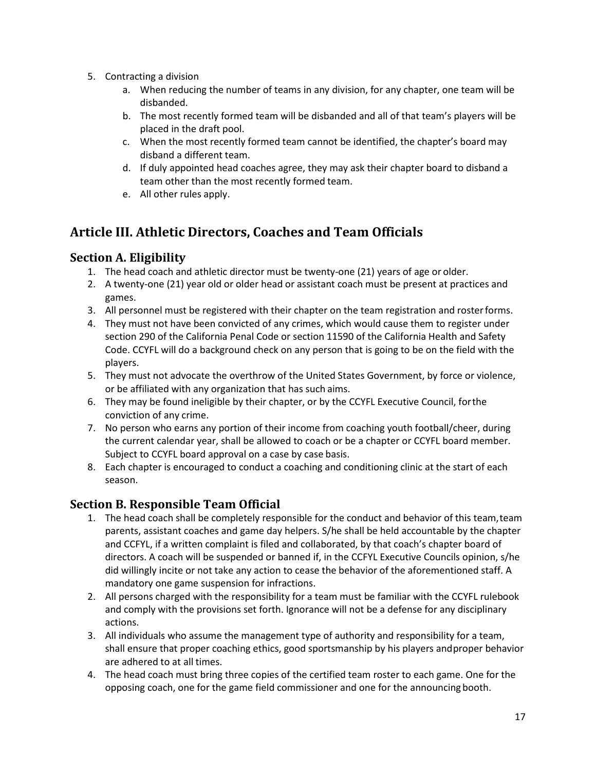- 5. Contracting a division
	- a. When reducing the number of teams in any division, for any chapter, one team will be disbanded.
	- b. The most recently formed team will be disbanded and all of that team's players will be placed in the draft pool.
	- c. When the most recently formed team cannot be identified, the chapter's board may disband a different team.
	- d. If duly appointed head coaches agree, they may ask their chapter board to disband a team other than the most recently formed team.
	- e. All other rules apply.

# <span id="page-16-0"></span>**Article III. Athletic Directors, Coaches and Team Officials**

#### <span id="page-16-1"></span>**Section A. Eligibility**

- 1. The head coach and athletic director must be twenty-one (21) years of age or older.
- 2. A twenty-one (21) year old or older head or assistant coach must be present at practices and games.
- 3. All personnel must be registered with their chapter on the team registration and rosterforms.
- 4. They must not have been convicted of any crimes, which would cause them to register under section 290 of the California Penal Code or section 11590 of the California Health and Safety Code. CCYFL will do a background check on any person that is going to be on the field with the players.
- 5. They must not advocate the overthrow of the United States Government, by force or violence, or be affiliated with any organization that has such aims.
- 6. They may be found ineligible by their chapter, or by the CCYFL Executive Council, forthe conviction of any crime.
- 7. No person who earns any portion of their income from coaching youth football/cheer, during the current calendar year, shall be allowed to coach or be a chapter or CCYFL board member. Subject to CCYFL board approval on a case by case basis.
- 8. Each chapter is encouraged to conduct a coaching and conditioning clinic at the start of each season.

# <span id="page-16-2"></span>**Section B. Responsible Team Official**

- 1. The head coach shall be completely responsible for the conduct and behavior of this team,team parents, assistant coaches and game day helpers. S/he shall be held accountable by the chapter and CCFYL, if a written complaint is filed and collaborated, by that coach's chapter board of directors. A coach will be suspended or banned if, in the CCFYL Executive Councils opinion, s/he did willingly incite or not take any action to cease the behavior of the aforementioned staff. A mandatory one game suspension for infractions.
- 2. All persons charged with the responsibility for a team must be familiar with the CCYFL rulebook and comply with the provisions set forth. Ignorance will not be a defense for any disciplinary actions.
- 3. All individuals who assume the management type of authority and responsibility for a team, shall ensure that proper coaching ethics, good sportsmanship by his players andproper behavior are adhered to at all times.
- 4. The head coach must bring three copies of the certified team roster to each game. One for the opposing coach, one for the game field commissioner and one for the announcing booth.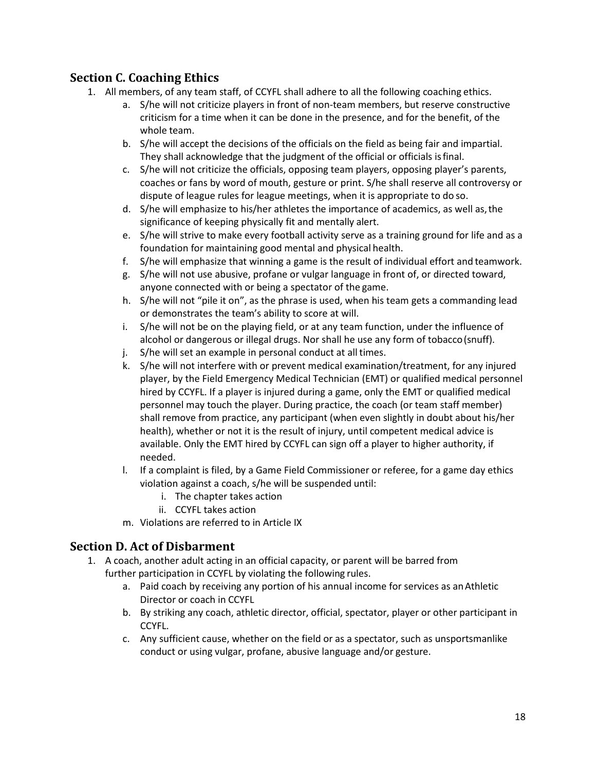# <span id="page-17-0"></span>**Section C. Coaching Ethics**

- 1. All members, of any team staff, of CCYFL shall adhere to all the following coaching ethics.
	- a. S/he will not criticize players in front of non-team members, but reserve constructive criticism for a time when it can be done in the presence, and for the benefit, of the whole team.
	- b. S/he will accept the decisions of the officials on the field as being fair and impartial. They shall acknowledge that the judgment of the official or officials isfinal.
	- c. S/he will not criticize the officials, opposing team players, opposing player's parents, coaches or fans by word of mouth, gesture or print. S/he shall reserve all controversy or dispute of league rules for league meetings, when it is appropriate to do so.
	- d. S/he will emphasize to his/her athletes the importance of academics, as well as,the significance of keeping physically fit and mentally alert.
	- e. S/he will strive to make every football activity serve as a training ground for life and as a foundation for maintaining good mental and physical health.
	- f. S/he will emphasize that winning a game is the result of individual effort and teamwork.
	- g. S/he will not use abusive, profane or vulgar language in front of, or directed toward, anyone connected with or being a spectator of the game.
	- h. S/he will not "pile it on", as the phrase is used, when his team gets a commanding lead or demonstrates the team's ability to score at will.
	- i. S/he will not be on the playing field, or at any team function, under the influence of alcohol or dangerous or illegal drugs. Nor shall he use any form of tobacco(snuff).
	- j. S/he will set an example in personal conduct at all times.
	- k. S/he will not interfere with or prevent medical examination/treatment, for any injured player, by the Field Emergency Medical Technician (EMT) or qualified medical personnel hired by CCYFL. If a player is injured during a game, only the EMT or qualified medical personnel may touch the player. During practice, the coach (or team staff member) shall remove from practice, any participant (when even slightly in doubt about his/her health), whether or not it is the result of injury, until competent medical advice is available. Only the EMT hired by CCYFL can sign off a player to higher authority, if needed.
	- l. If a complaint is filed, by a Game Field Commissioner or referee, for a game day ethics violation against a coach, s/he will be suspended until:
		- i. The chapter takes action
		- ii. CCYFL takes action
	- m. Violations are referred to in Article IX

#### <span id="page-17-1"></span>**Section D. Act of Disbarment**

- 1. A coach, another adult acting in an official capacity, or parent will be barred from further participation in CCYFL by violating the following rules.
	- a. Paid coach by receiving any portion of his annual income for services as anAthletic Director or coach in CCYFL
	- b. By striking any coach, athletic director, official, spectator, player or other participant in CCYFL.
	- c. Any sufficient cause, whether on the field or as a spectator, such as unsportsmanlike conduct or using vulgar, profane, abusive language and/or gesture.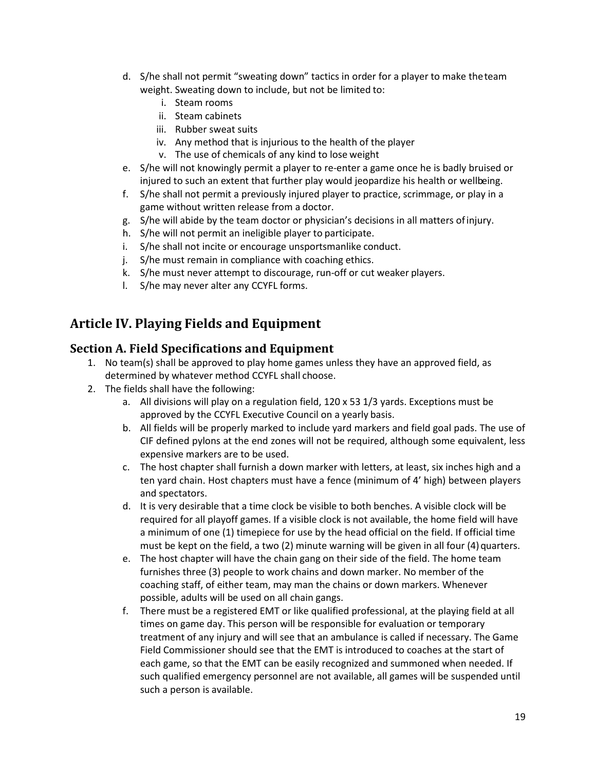- d. S/he shall not permit "sweating down" tactics in order for a player to make theteam weight. Sweating down to include, but not be limited to:
	- i. Steam rooms
	- ii. Steam cabinets
	- iii. Rubber sweat suits
	- iv. Any method that is injurious to the health of the player
	- v. The use of chemicals of any kind to lose weight
- e. S/he will not knowingly permit a player to re-enter a game once he is badly bruised or injured to such an extent that further play would jeopardize his health or wellbeing.
- f. S/he shall not permit a previously injured player to practice, scrimmage, or play in a game without written release from a doctor.
- g. S/he will abide by the team doctor or physician's decisions in all matters ofinjury.
- h. S/he will not permit an ineligible player to participate.
- i. S/he shall not incite or encourage unsportsmanlike conduct.
- j. S/he must remain in compliance with coaching ethics.
- k. S/he must never attempt to discourage, run-off or cut weaker players.
- l. S/he may never alter any CCYFL forms.

# <span id="page-18-0"></span>**Article IV. Playing Fields and Equipment**

#### <span id="page-18-1"></span>**Section A. Field Specifications and Equipment**

- 1. No team(s) shall be approved to play home games unless they have an approved field, as determined by whatever method CCYFL shall choose.
- 2. The fields shall have the following:
	- a. All divisions will play on a regulation field, 120 x 53 1/3 yards. Exceptions must be approved by the CCYFL Executive Council on a yearly basis.
	- b. All fields will be properly marked to include yard markers and field goal pads. The use of CIF defined pylons at the end zones will not be required, although some equivalent, less expensive markers are to be used.
	- c. The host chapter shall furnish a down marker with letters, at least, six inches high and a ten yard chain. Host chapters must have a fence (minimum of 4' high) between players and spectators.
	- d. It is very desirable that a time clock be visible to both benches. A visible clock will be required for all playoff games. If a visible clock is not available, the home field will have a minimum of one (1) timepiece for use by the head official on the field. If official time must be kept on the field, a two  $(2)$  minute warning will be given in all four  $(4)$  quarters.
	- e. The host chapter will have the chain gang on their side of the field. The home team furnishes three (3) people to work chains and down marker. No member of the coaching staff, of either team, may man the chains or down markers. Whenever possible, adults will be used on all chain gangs.
	- f. There must be a registered EMT or like qualified professional, at the playing field at all times on game day. This person will be responsible for evaluation or temporary treatment of any injury and will see that an ambulance is called if necessary. The Game Field Commissioner should see that the EMT is introduced to coaches at the start of each game, so that the EMT can be easily recognized and summoned when needed. If such qualified emergency personnel are not available, all games will be suspended until such a person is available.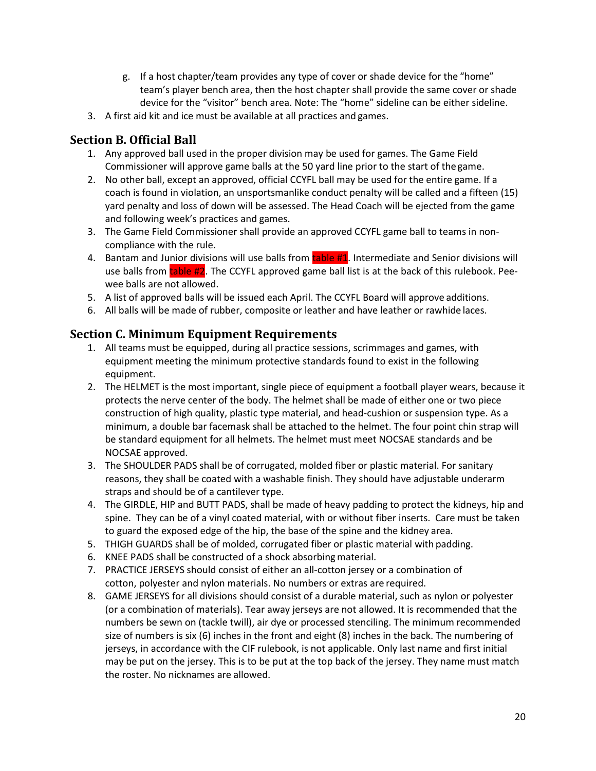- g. If a host chapter/team provides any type of cover or shade device for the "home" team's player bench area, then the host chapter shall provide the same cover or shade device for the "visitor" bench area. Note: The "home" sideline can be either sideline.
- 3. A first aid kit and ice must be available at all practices and games.

# <span id="page-19-0"></span>**Section B. Official Ball**

- 1. Any approved ball used in the proper division may be used for games. The Game Field Commissioner will approve game balls at the 50 yard line prior to the start of the game.
- 2. No other ball, except an approved, official CCYFL ball may be used for the entire game. If a coach is found in violation, an unsportsmanlike conduct penalty will be called and a fifteen (15) yard penalty and loss of down will be assessed. The Head Coach will be ejected from the game and following week's practices and games.
- 3. The Game Field Commissioner shall provide an approved CCYFL game ball to teams in noncompliance with the rule.
- 4. Bantam and Junior divisions will use balls from table #1. Intermediate and Senior divisions will use balls from table #2. The CCYFL approved game ball list is at the back of this rulebook. Peewee balls are not allowed.
- 5. A list of approved balls will be issued each April. The CCYFL Board will approve additions.
- 6. All balls will be made of rubber, composite or leather and have leather or rawhide laces.

#### <span id="page-19-1"></span>**Section C. Minimum Equipment Requirements**

- 1. All teams must be equipped, during all practice sessions, scrimmages and games, with equipment meeting the minimum protective standards found to exist in the following equipment.
- 2. The HELMET is the most important, single piece of equipment a football player wears, because it protects the nerve center of the body. The helmet shall be made of either one or two piece construction of high quality, plastic type material, and head-cushion or suspension type. As a minimum, a double bar facemask shall be attached to the helmet. The four point chin strap will be standard equipment for all helmets. The helmet must meet NOCSAE standards and be NOCSAE approved.
- 3. The SHOULDER PADS shall be of corrugated, molded fiber or plastic material. For sanitary reasons, they shall be coated with a washable finish. They should have adjustable underarm straps and should be of a cantilever type.
- 4. The GIRDLE, HIP and BUTT PADS, shall be made of heavy padding to protect the kidneys, hip and spine. They can be of a vinyl coated material, with or without fiber inserts. Care must be taken to guard the exposed edge of the hip, the base of the spine and the kidney area.
- 5. THIGH GUARDS shall be of molded, corrugated fiber or plastic material with padding.
- 6. KNEE PADS shall be constructed of a shock absorbingmaterial.
- 7. PRACTICE JERSEYS should consist of either an all-cotton jersey or a combination of cotton, polyester and nylon materials. No numbers or extras are required.
- 8. GAME JERSEYS for all divisions should consist of a durable material, such as nylon or polyester (or a combination of materials). Tear away jerseys are not allowed. It is recommended that the numbers be sewn on (tackle twill), air dye or processed stenciling. The minimum recommended size of numbers is six (6) inches in the front and eight (8) inches in the back. The numbering of jerseys, in accordance with the CIF rulebook, is not applicable. Only last name and first initial may be put on the jersey. This is to be put at the top back of the jersey. They name must match the roster. No nicknames are allowed.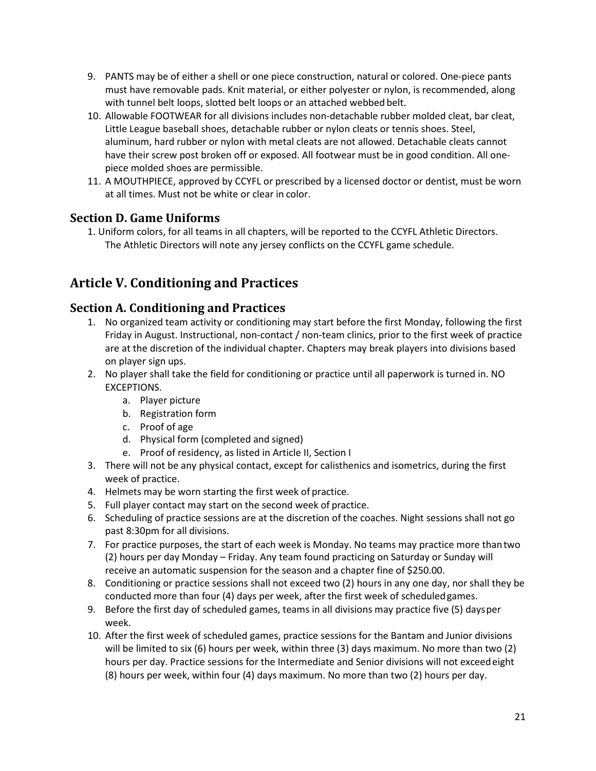- 9. PANTS may be of either a shell or one piece construction, natural or colored. One-piece pants must have removable pads. Knit material, or either polyester or nylon, is recommended, along with tunnel belt loops, slotted belt loops or an attached webbed belt.
- 10. Allowable FOOTWEAR for all divisions includes non-detachable rubber molded cleat, bar cleat, Little League baseball shoes, detachable rubber or nylon cleats or tennis shoes. Steel, aluminum, hard rubber or nylon with metal cleats are not allowed. Detachable cleats cannot have their screw post broken off or exposed. All footwear must be in good condition. All onepiece molded shoes are permissible.
- 11. A MOUTHPIECE, approved by CCYFL or prescribed by a licensed doctor or dentist, must be worn at all times. Must not be white or clear in color.

#### <span id="page-20-0"></span>**Section D. Game Uniforms**

1. Uniform colors, for all teams in all chapters, will be reported to the CCYFL Athletic Directors. The Athletic Directors will note any jersey conflicts on the CCYFL game schedule.

# <span id="page-20-2"></span><span id="page-20-1"></span>**Article V. Conditioning and Practices**

#### **Section A. Conditioning and Practices**

- 1. No organized team activity or conditioning may start before the first Monday, following the first Friday in August. Instructional, non-contact / non-team clinics, prior to the first week of practice are at the discretion of the individual chapter. Chapters may break players into divisions based on player sign ups.
- 2. No player shall take the field for conditioning or practice until all paperwork is turned in. NO EXCEPTIONS.
	- a. Player picture
	- b. Registration form
	- c. Proof of age
	- d. Physical form (completed and signed)
	- e. Proof of residency, as listed in Article II, Section I
- 3. There will not be any physical contact, except for calisthenics and isometrics, during the first week of practice.
- 4. Helmets may be worn starting the first week of practice.
- 5. Full player contact may start on the second week of practice.
- 6. Scheduling of practice sessions are at the discretion of the coaches. Night sessions shall not go past 8:30pm for all divisions.
- 7. For practice purposes, the start of each week is Monday. No teams may practice more thantwo (2) hours per day Monday – Friday. Any team found practicing on Saturday or Sunday will receive an automatic suspension for the season and a chapter fine of \$250.00.
- 8. Conditioning or practice sessions shall not exceed two (2) hours in any one day, nor shall they be conducted more than four (4) days per week, after the first week of scheduledgames.
- 9. Before the first day of scheduled games, teams in all divisions may practice five (5) daysper week.
- 10. After the first week of scheduled games, practice sessions for the Bantam and Junior divisions will be limited to six (6) hours per week, within three (3) days maximum. No more than two (2) hours per day. Practice sessions for the Intermediate and Senior divisions will not exceedeight (8) hours per week, within four (4) days maximum. No more than two (2) hours per day.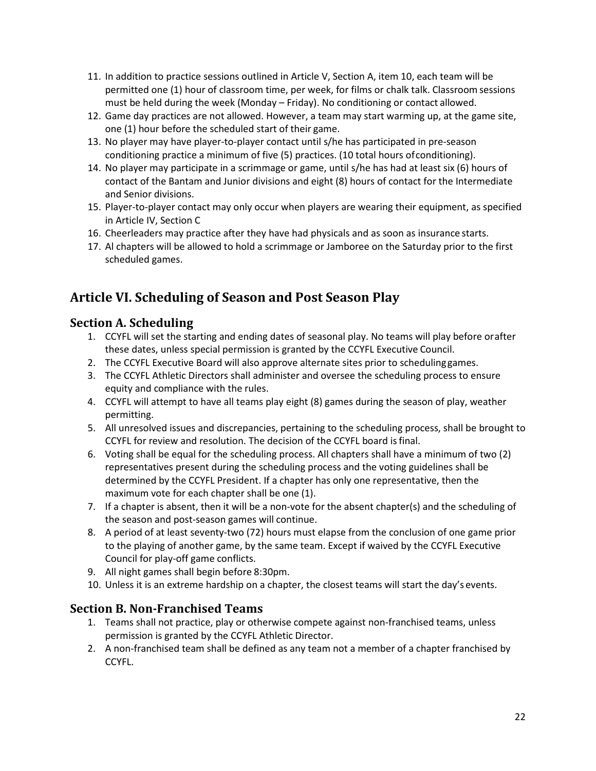- 11. In addition to practice sessions outlined in Article V, Section A, item 10, each team will be permitted one (1) hour of classroom time, per week, for films or chalk talk. Classroom sessions must be held during the week (Monday – Friday). No conditioning or contact allowed.
- 12. Game day practices are not allowed. However, a team may start warming up, at the game site, one (1) hour before the scheduled start of their game.
- 13. No player may have player-to-player contact until s/he has participated in pre-season conditioning practice a minimum of five (5) practices. (10 total hours ofconditioning).
- 14. No player may participate in a scrimmage or game, until s/he has had at least six (6) hours of contact of the Bantam and Junior divisions and eight (8) hours of contact for the Intermediate and Senior divisions.
- 15. Player-to-player contact may only occur when players are wearing their equipment, as specified in Article IV, Section C
- 16. Cheerleaders may practice after they have had physicals and as soon as insurance starts.
- 17. Al chapters will be allowed to hold a scrimmage or Jamboree on the Saturday prior to the first scheduled games.

# <span id="page-21-1"></span><span id="page-21-0"></span>**Article VI. Scheduling of Season and Post Season Play**

#### **Section A. Scheduling**

- 1. CCYFL will set the starting and ending dates of seasonal play. No teams will play before orafter these dates, unless special permission is granted by the CCYFL Executive Council.
- 2. The CCYFL Executive Board will also approve alternate sites prior to schedulinggames.
- 3. The CCYFL Athletic Directors shall administer and oversee the scheduling process to ensure equity and compliance with the rules.
- 4. CCYFL will attempt to have all teams play eight (8) games during the season of play, weather permitting.
- 5. All unresolved issues and discrepancies, pertaining to the scheduling process, shall be brought to CCYFL for review and resolution. The decision of the CCYFL board isfinal.
- 6. Voting shall be equal for the scheduling process. All chapters shall have a minimum of two (2) representatives present during the scheduling process and the voting guidelines shall be determined by the CCYFL President. If a chapter has only one representative, then the maximum vote for each chapter shall be one (1).
- 7. If a chapter is absent, then it will be a non-vote for the absent chapter(s) and the scheduling of the season and post-season games will continue.
- 8. A period of at least seventy-two (72) hours must elapse from the conclusion of one game prior to the playing of another game, by the same team. Except if waived by the CCYFL Executive Council for play-off game conflicts.
- 9. All night games shall begin before 8:30pm.
- 10. Unless it is an extreme hardship on a chapter, the closest teams will start the day's events.

#### <span id="page-21-2"></span>**Section B. Non-Franchised Teams**

- 1. Teams shall not practice, play or otherwise compete against non-franchised teams, unless permission is granted by the CCYFL Athletic Director.
- 2. A non-franchised team shall be defined as any team not a member of a chapter franchised by CCYFL.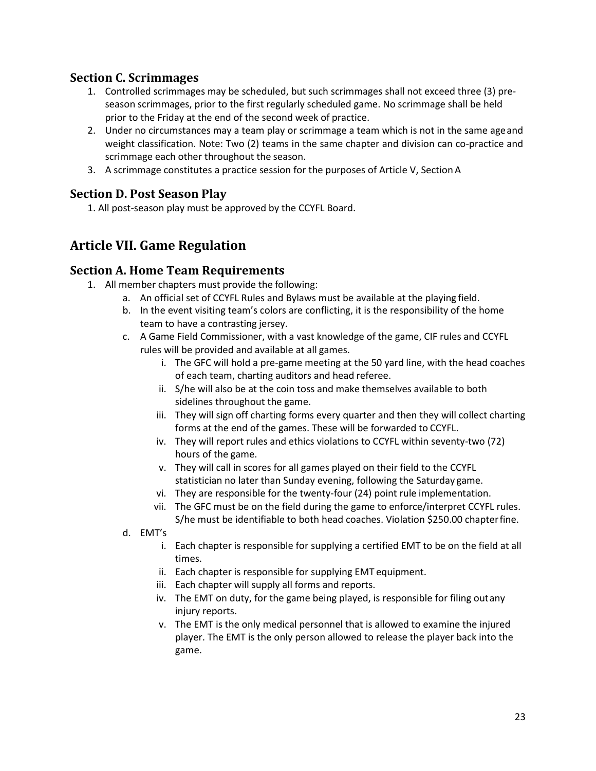#### <span id="page-22-0"></span>**Section C. Scrimmages**

- 1. Controlled scrimmages may be scheduled, but such scrimmages shall not exceed three (3) preseason scrimmages, prior to the first regularly scheduled game. No scrimmage shall be held prior to the Friday at the end of the second week of practice.
- 2. Under no circumstances may a team play or scrimmage a team which is not in the same ageand weight classification. Note: Two (2) teams in the same chapter and division can co-practice and scrimmage each other throughout the season.
- 3. A scrimmage constitutes a practice session for the purposes of Article V, SectionA

#### <span id="page-22-1"></span>**Section D. Post Season Play**

1. All post-season play must be approved by the CCYFL Board.

# <span id="page-22-2"></span>**Article VII. Game Regulation**

#### <span id="page-22-3"></span>**Section A. Home Team Requirements**

- 1. All member chapters must provide the following:
	- a. An official set of CCYFL Rules and Bylaws must be available at the playing field.
	- b. In the event visiting team's colors are conflicting, it is the responsibility of the home team to have a contrasting jersey.
	- c. A Game Field Commissioner, with a vast knowledge of the game, CIF rules and CCYFL rules will be provided and available at all games.
		- i. The GFC will hold a pre-game meeting at the 50 yard line, with the head coaches of each team, charting auditors and head referee.
		- ii. S/he will also be at the coin toss and make themselves available to both sidelines throughout the game.
		- iii. They will sign off charting forms every quarter and then they will collect charting forms at the end of the games. These will be forwarded to CCYFL.
		- iv. They will report rules and ethics violations to CCYFL within seventy-two (72) hours of the game.
		- v. They will call in scores for all games played on their field to the CCYFL statistician no later than Sunday evening, following the Saturday game.
		- vi. They are responsible for the twenty-four (24) point rule implementation.
		- vii. The GFC must be on the field during the game to enforce/interpret CCYFL rules. S/he must be identifiable to both head coaches. Violation \$250.00 chapterfine.
	- d. EMT's
		- i. Each chapter is responsible for supplying a certified EMT to be on the field at all times.
		- ii. Each chapter is responsible for supplying EMT equipment.
		- iii. Each chapter will supply all forms and reports.
		- iv. The EMT on duty, for the game being played, is responsible for filing outany injury reports.
		- v. The EMT is the only medical personnel that is allowed to examine the injured player. The EMT is the only person allowed to release the player back into the game.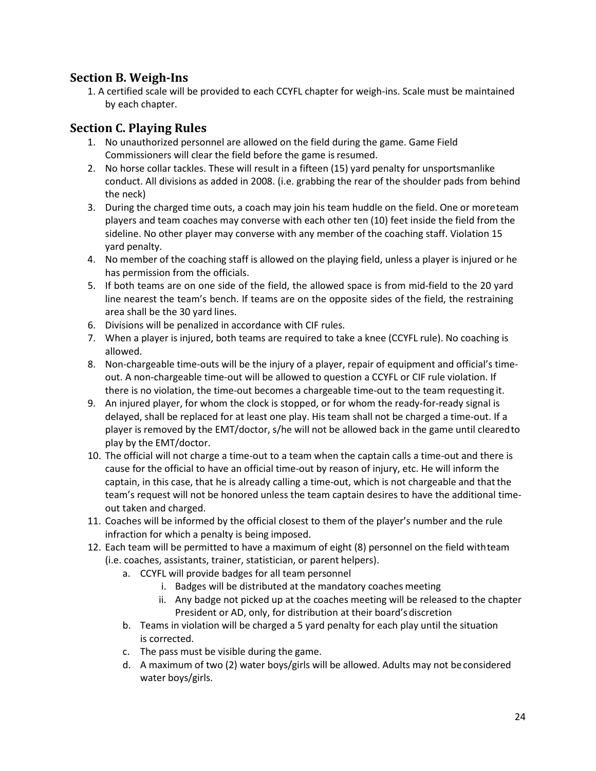#### <span id="page-23-0"></span>**Section B. Weigh-Ins**

1. A certified scale will be provided to each CCYFL chapter for weigh-ins. Scale must be maintained by each chapter.

#### <span id="page-23-1"></span>**Section C. Playing Rules**

- 1. No unauthorized personnel are allowed on the field during the game. Game Field Commissioners will clear the field before the game is resumed.
- 2. No horse collar tackles. These will result in a fifteen (15) yard penalty for unsportsmanlike conduct. All divisions as added in 2008. (i.e. grabbing the rear of the shoulder pads from behind the neck)
- 3. During the charged time outs, a coach may join his team huddle on the field. One or moreteam players and team coaches may converse with each other ten (10) feet inside the field from the sideline. No other player may converse with any member of the coaching staff. Violation 15 yard penalty.
- 4. No member of the coaching staff is allowed on the playing field, unless a player is injured or he has permission from the officials.
- 5. If both teams are on one side of the field, the allowed space is from mid-field to the 20 yard line nearest the team's bench. If teams are on the opposite sides of the field, the restraining area shall be the 30 yard lines.
- 6. Divisions will be penalized in accordance with CIF rules.
- 7. When a player is injured, both teams are required to take a knee (CCYFL rule). No coaching is allowed.
- 8. Non-chargeable time-outs will be the injury of a player, repair of equipment and official's timeout. A non-chargeable time-out will be allowed to question a CCYFL or CIF rule violation. If there is no violation, the time-out becomes a chargeable time-out to the team requesting it.
- 9. An injured player, for whom the clock is stopped, or for whom the ready-for-ready signal is delayed, shall be replaced for at least one play. His team shall not be charged a time-out. If a player is removed by the EMT/doctor, s/he will not be allowed back in the game until clearedto play by the EMT/doctor.
- 10. The official will not charge a time-out to a team when the captain calls a time-out and there is cause for the official to have an official time-out by reason of injury, etc. He will inform the captain, in this case, that he is already calling a time-out, which is not chargeable and thatthe team's request will not be honored unless the team captain desires to have the additional timeout taken and charged.
- 11. Coaches will be informed by the official closest to them of the player's number and the rule infraction for which a penalty is being imposed.
- 12. Each team will be permitted to have a maximum of eight (8) personnel on the field withteam (i.e. coaches, assistants, trainer, statistician, or parent helpers).
	- a. CCYFL will provide badges for all team personnel
		- i. Badges will be distributed at the mandatory coaches meeting
		- ii. Any badge not picked up at the coaches meeting will be released to the chapter President or AD, only, for distribution at their board's discretion
	- b. Teams in violation will be charged a 5 yard penalty for each play until the situation is corrected.
	- c. The pass must be visible during the game.
	- d. A maximum of two (2) water boys/girls will be allowed. Adults may not beconsidered water boys/girls.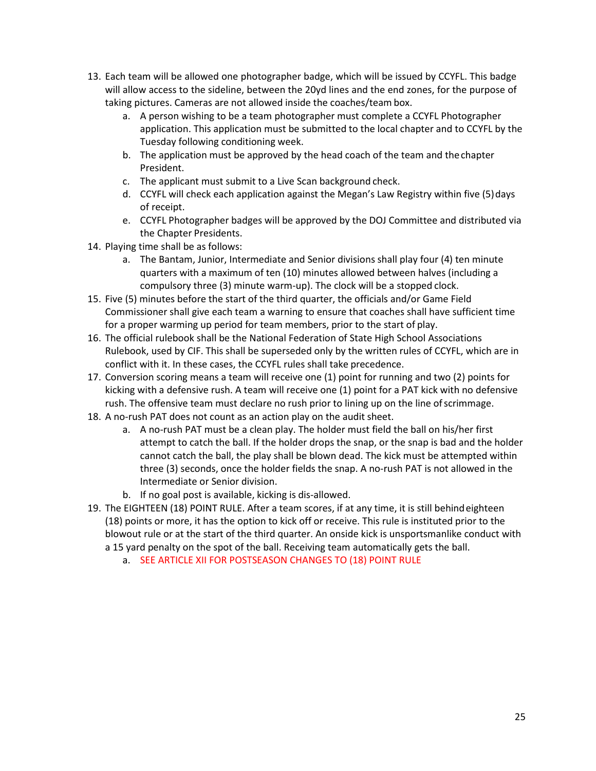- 13. Each team will be allowed one photographer badge, which will be issued by CCYFL. This badge will allow access to the sideline, between the 20yd lines and the end zones, for the purpose of taking pictures. Cameras are not allowed inside the coaches/team box.
	- a. A person wishing to be a team photographer must complete a CCYFL Photographer application. This application must be submitted to the local chapter and to CCYFL by the Tuesday following conditioning week.
	- b. The application must be approved by the head coach of the team and thechapter President.
	- c. The applicant must submit to a Live Scan background check.
	- d. CCYFL will check each application against the Megan's Law Registry within five (5)days of receipt.
	- e. CCYFL Photographer badges will be approved by the DOJ Committee and distributed via the Chapter Presidents.
- 14. Playing time shall be as follows:
	- a. The Bantam, Junior, Intermediate and Senior divisions shall play four (4) ten minute quarters with a maximum of ten (10) minutes allowed between halves (including a compulsory three (3) minute warm-up). The clock will be a stopped clock.
- 15. Five (5) minutes before the start of the third quarter, the officials and/or Game Field Commissioner shall give each team a warning to ensure that coaches shall have sufficient time for a proper warming up period for team members, prior to the start of play.
- 16. The official rulebook shall be the National Federation of State High School Associations Rulebook, used by CIF. This shall be superseded only by the written rules of CCYFL, which are in conflict with it. In these cases, the CCYFL rules shall take precedence.
- 17. Conversion scoring means a team will receive one (1) point for running and two (2) points for kicking with a defensive rush. A team will receive one (1) point for a PAT kick with no defensive rush. The offensive team must declare no rush prior to lining up on the line ofscrimmage.
- 18. A no-rush PAT does not count as an action play on the audit sheet.
	- a. A no-rush PAT must be a clean play. The holder must field the ball on his/her first attempt to catch the ball. If the holder drops the snap, or the snap is bad and the holder cannot catch the ball, the play shall be blown dead. The kick must be attempted within three (3) seconds, once the holder fields the snap. A no-rush PAT is not allowed in the Intermediate or Senior division.
	- b. If no goal post is available, kicking is dis-allowed.
- 19. The EIGHTEEN (18) POINT RULE. After a team scores, if at any time, it is still behindeighteen (18) points or more, it has the option to kick off or receive. This rule is instituted prior to the blowout rule or at the start of the third quarter. An onside kick is unsportsmanlike conduct with a 15 yard penalty on the spot of the ball. Receiving team automatically gets the ball.
	- a. SEE ARTICLE XII FOR POSTSEASON CHANGES TO (18) POINT RULE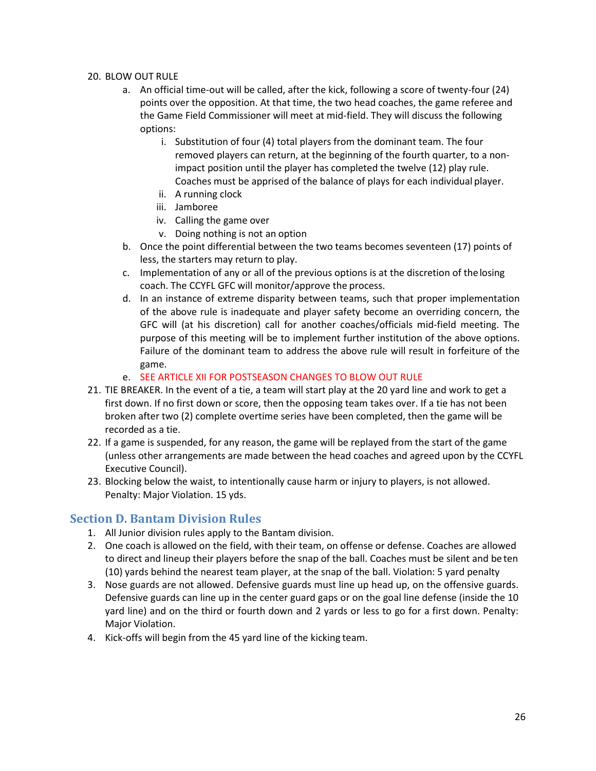#### 20. BLOW OUT RULE

- a. An official time-out will be called, after the kick, following a score of twenty-four (24) points over the opposition. At that time, the two head coaches, the game referee and the Game Field Commissioner will meet at mid-field. They will discuss the following options:
	- i. Substitution of four (4) total players from the dominant team. The four removed players can return, at the beginning of the fourth quarter, to a nonimpact position until the player has completed the twelve (12) play rule. Coaches must be apprised of the balance of plays for each individual player.
	- ii. A running clock
	- iii. Jamboree
	- iv. Calling the game over
	- v. Doing nothing is not an option
- b. Once the point differential between the two teams becomes seventeen (17) points of less, the starters may return to play.
- c. Implementation of any or all of the previous options is at the discretion of thelosing coach. The CCYFL GFC will monitor/approve the process.
- d. In an instance of extreme disparity between teams, such that proper implementation of the above rule is inadequate and player safety become an overriding concern, the GFC will (at his discretion) call for another coaches/officials mid-field meeting. The purpose of this meeting will be to implement further institution of the above options. Failure of the dominant team to address the above rule will result in forfeiture of the game.
- e. SEE ARTICLE XII FOR POSTSEASON CHANGES TO BLOW OUT RULE
- 21. TIE BREAKER. In the event of a tie, a team will start play at the 20 yard line and work to get a first down. If no first down or score, then the opposing team takes over. If a tie has not been broken after two (2) complete overtime series have been completed, then the game will be recorded as a tie.
- 22. If a game is suspended, for any reason, the game will be replayed from the start of the game (unless other arrangements are made between the head coaches and agreed upon by the CCYFL Executive Council).
- 23. Blocking below the waist, to intentionally cause harm or injury to players, is not allowed. Penalty: Major Violation. 15 yds.

#### <span id="page-25-0"></span>**Section D. Bantam Division Rules**

- 1. All Junior division rules apply to the Bantam division.
- 2. One coach is allowed on the field, with their team, on offense or defense. Coaches are allowed to direct and lineup their players before the snap of the ball. Coaches must be silent and be ten (10) yards behind the nearest team player, at the snap of the ball. Violation: 5 yard penalty
- 3. Nose guards are not allowed. Defensive guards must line up head up, on the offensive guards. Defensive guards can line up in the center guard gaps or on the goal line defense (inside the 10 yard line) and on the third or fourth down and 2 yards or less to go for a first down. Penalty: Major Violation.
- 4. Kick-offs will begin from the 45 yard line of the kicking team.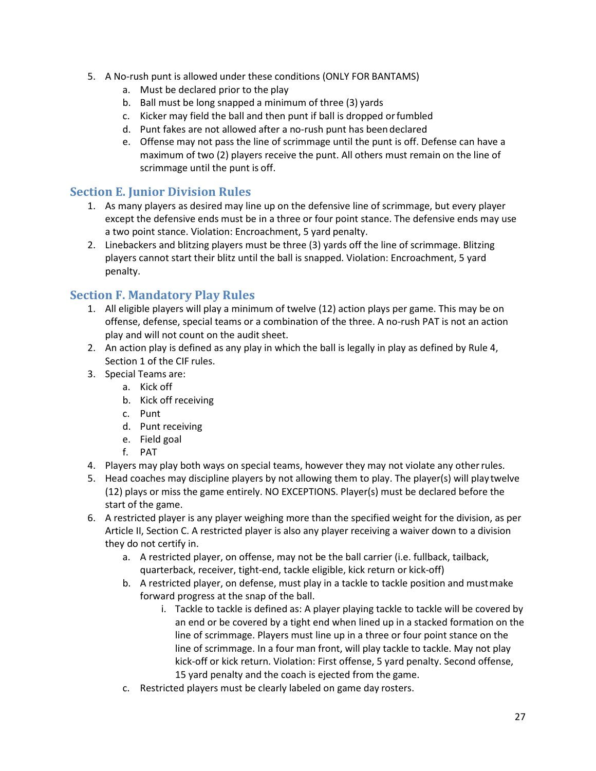- 5. A No-rush punt is allowed under these conditions (ONLY FOR BANTAMS)
	- a. Must be declared prior to the play
	- b. Ball must be long snapped a minimum of three (3) yards
	- c. Kicker may field the ball and then punt if ball is dropped orfumbled
	- d. Punt fakes are not allowed after a no-rush punt has been declared
	- e. Offense may not pass the line of scrimmage until the punt is off. Defense can have a maximum of two (2) players receive the punt. All others must remain on the line of scrimmage until the punt is off.

#### <span id="page-26-0"></span>**Section E. Junior Division Rules**

- 1. As many players as desired may line up on the defensive line of scrimmage, but every player except the defensive ends must be in a three or four point stance. The defensive ends may use a two point stance. Violation: Encroachment, 5 yard penalty.
- 2. Linebackers and blitzing players must be three (3) yards off the line of scrimmage. Blitzing players cannot start their blitz until the ball is snapped. Violation: Encroachment, 5 yard penalty.

## <span id="page-26-1"></span>**Section F. Mandatory Play Rules**

- 1. All eligible players will play a minimum of twelve (12) action plays per game. This may be on offense, defense, special teams or a combination of the three. A no-rush PAT is not an action play and will not count on the audit sheet.
- 2. An action play is defined as any play in which the ball is legally in play as defined by Rule 4, Section 1 of the CIF rules.
- 3. Special Teams are:
	- a. Kick off
	- b. Kick off receiving
	- c. Punt
	- d. Punt receiving
	- e. Field goal
	- f. PAT
- 4. Players may play both ways on special teams, however they may not violate any otherrules.
- 5. Head coaches may discipline players by not allowing them to play. The player(s) will play twelve (12) plays or miss the game entirely. NO EXCEPTIONS. Player(s) must be declared before the start of the game.
- 6. A restricted player is any player weighing more than the specified weight for the division, as per Article II, Section C. A restricted player is also any player receiving a waiver down to a division they do not certify in.
	- a. A restricted player, on offense, may not be the ball carrier (i.e. fullback, tailback, quarterback, receiver, tight-end, tackle eligible, kick return or kick-off)
	- b. A restricted player, on defense, must play in a tackle to tackle position and mustmake forward progress at the snap of the ball.
		- i. Tackle to tackle is defined as: A player playing tackle to tackle will be covered by an end or be covered by a tight end when lined up in a stacked formation on the line of scrimmage. Players must line up in a three or four point stance on the line of scrimmage. In a four man front, will play tackle to tackle. May not play kick-off or kick return. Violation: First offense, 5 yard penalty. Second offense, 15 yard penalty and the coach is ejected from the game.
	- c. Restricted players must be clearly labeled on game day rosters.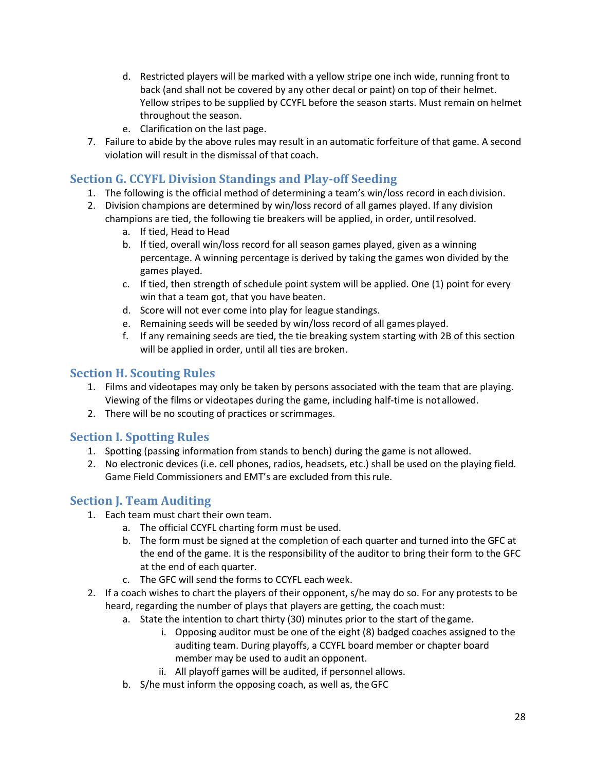- d. Restricted players will be marked with a yellow stripe one inch wide, running front to back (and shall not be covered by any other decal or paint) on top of their helmet. Yellow stripes to be supplied by CCYFL before the season starts. Must remain on helmet throughout the season.
- e. Clarification on the last page.
- 7. Failure to abide by the above rules may result in an automatic forfeiture of that game. A second violation will result in the dismissal of that coach.

## <span id="page-27-0"></span>**Section G. CCYFL Division Standings and Play-off Seeding**

- 1. The following is the official method of determining a team's win/loss record in eachdivision.
- 2. Division champions are determined by win/loss record of all games played. If any division champions are tied, the following tie breakers will be applied, in order, untilresolved.
	- a. If tied, Head to Head
	- b. If tied, overall win/loss record for all season games played, given as a winning percentage. A winning percentage is derived by taking the games won divided by the games played.
	- c. If tied, then strength of schedule point system will be applied. One (1) point for every win that a team got, that you have beaten.
	- d. Score will not ever come into play for league standings.
	- e. Remaining seeds will be seeded by win/loss record of all games played.
	- f. If any remaining seeds are tied, the tie breaking system starting with 2B of this section will be applied in order, until all ties are broken.

## <span id="page-27-1"></span>**Section H. Scouting Rules**

- 1. Films and videotapes may only be taken by persons associated with the team that are playing. Viewing of the films or videotapes during the game, including half-time is not allowed.
- 2. There will be no scouting of practices or scrimmages.

# <span id="page-27-2"></span>**Section I. Spotting Rules**

- 1. Spotting (passing information from stands to bench) during the game is not allowed.
- 2. No electronic devices (i.e. cell phones, radios, headsets, etc.) shall be used on the playing field. Game Field Commissioners and EMT's are excluded from thisrule.

#### <span id="page-27-3"></span>**Section J. Team Auditing**

- 1. Each team must chart their own team.
	- a. The official CCYFL charting form must be used.
	- b. The form must be signed at the completion of each quarter and turned into the GFC at the end of the game. It is the responsibility of the auditor to bring their form to the GFC at the end of each quarter.
	- c. The GFC will send the forms to CCYFL each week.
- 2. If a coach wishes to chart the players of their opponent, s/he may do so. For any protests to be heard, regarding the number of plays that players are getting, the coachmust:
	- a. State the intention to chart thirty (30) minutes prior to the start of the game.
		- i. Opposing auditor must be one of the eight (8) badged coaches assigned to the auditing team. During playoffs, a CCYFL board member or chapter board member may be used to audit an opponent.
		- ii. All playoff games will be audited, if personnel allows.
	- b. S/he must inform the opposing coach, as well as, theGFC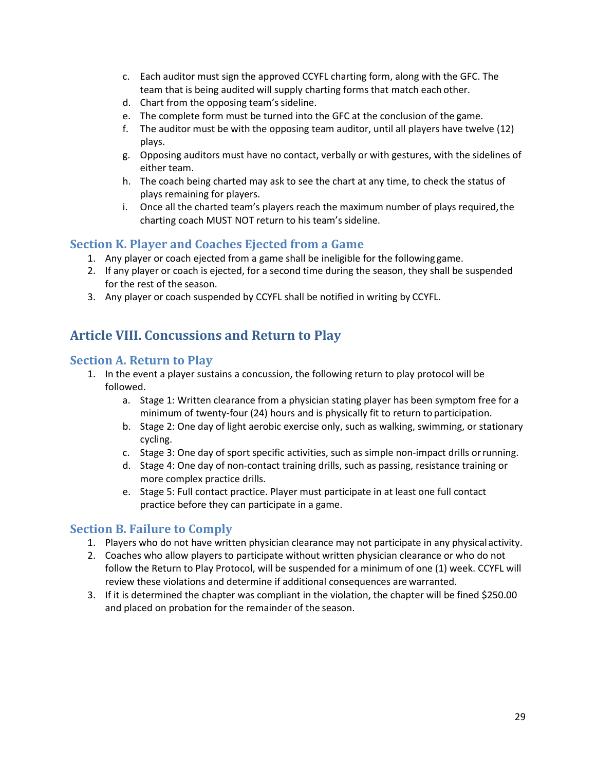- c. Each auditor must sign the approved CCYFL charting form, along with the GFC. The team that is being audited will supply charting forms that match each other.
- d. Chart from the opposing team's sideline.
- e. The complete form must be turned into the GFC at the conclusion of the game.
- f. The auditor must be with the opposing team auditor, until all players have twelve (12) plays.
- g. Opposing auditors must have no contact, verbally or with gestures, with the sidelines of either team.
- h. The coach being charted may ask to see the chart at any time, to check the status of plays remaining for players.
- i. Once all the charted team's players reach the maximum number of plays required, the charting coach MUST NOT return to his team's sideline.

#### <span id="page-28-0"></span>**Section K. Player and Coaches Ejected from a Game**

- 1. Any player or coach ejected from a game shall be ineligible for the following game.
- 2. If any player or coach is ejected, for a second time during the season, they shall be suspended for the rest of the season.
- 3. Any player or coach suspended by CCYFL shall be notified in writing by CCYFL.

# <span id="page-28-2"></span><span id="page-28-1"></span>**Article VIII. Concussions and Return to Play**

#### **Section A. Return to Play**

- 1. In the event a player sustains a concussion, the following return to play protocol will be followed.
	- a. Stage 1: Written clearance from a physician stating player has been symptom free for a minimum of twenty-four (24) hours and is physically fit to return to participation.
	- b. Stage 2: One day of light aerobic exercise only, such as walking, swimming, or stationary cycling.
	- c. Stage 3: One day of sport specific activities, such as simple non-impact drills orrunning.
	- d. Stage 4: One day of non-contact training drills, such as passing, resistance training or more complex practice drills.
	- e. Stage 5: Full contact practice. Player must participate in at least one full contact practice before they can participate in a game.

#### <span id="page-28-3"></span>**Section B. Failure to Comply**

- 1. Players who do not have written physician clearance may not participate in any physical activity.
- 2. Coaches who allow players to participate without written physician clearance or who do not follow the Return to Play Protocol, will be suspended for a minimum of one (1) week. CCYFL will review these violations and determine if additional consequences are warranted.
- 3. If it is determined the chapter was compliant in the violation, the chapter will be fined \$250.00 and placed on probation for the remainder of the season.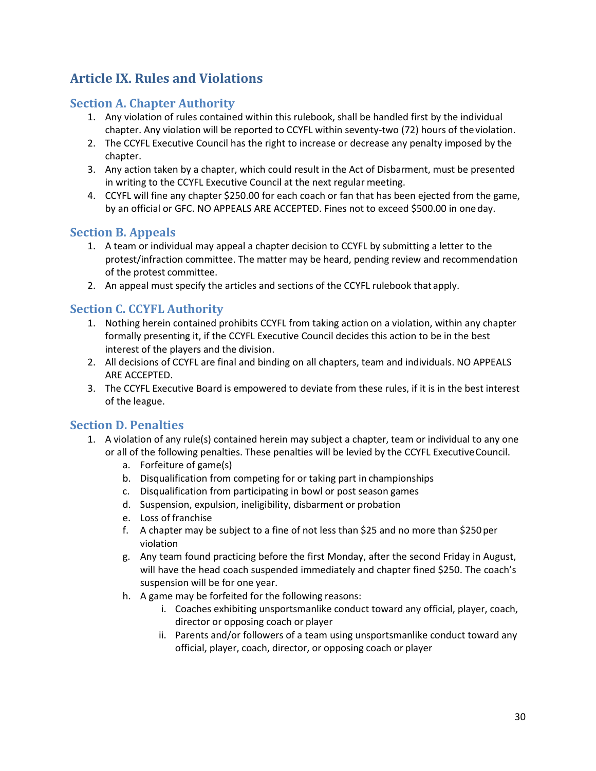# <span id="page-29-0"></span>**Article IX. Rules and Violations**

### <span id="page-29-1"></span>**Section A. Chapter Authority**

- 1. Any violation of rules contained within this rulebook, shall be handled first by the individual chapter. Any violation will be reported to CCYFL within seventy-two (72) hours of theviolation.
- 2. The CCYFL Executive Council has the right to increase or decrease any penalty imposed by the chapter.
- 3. Any action taken by a chapter, which could result in the Act of Disbarment, must be presented in writing to the CCYFL Executive Council at the next regular meeting.
- 4. CCYFL will fine any chapter \$250.00 for each coach or fan that has been ejected from the game, by an official or GFC. NO APPEALS ARE ACCEPTED. Fines not to exceed \$500.00 in oneday.

#### <span id="page-29-2"></span>**Section B. Appeals**

- 1. A team or individual may appeal a chapter decision to CCYFL by submitting a letter to the protest/infraction committee. The matter may be heard, pending review and recommendation of the protest committee.
- 2. An appeal must specify the articles and sections of the CCYFL rulebook that apply.

# <span id="page-29-3"></span>**Section C. CCYFL Authority**

- 1. Nothing herein contained prohibits CCYFL from taking action on a violation, within any chapter formally presenting it, if the CCYFL Executive Council decides this action to be in the best interest of the players and the division.
- 2. All decisions of CCYFL are final and binding on all chapters, team and individuals. NO APPEALS ARE ACCEPTED.
- 3. The CCYFL Executive Board is empowered to deviate from these rules, if it is in the best interest of the league.

#### <span id="page-29-4"></span>**Section D. Penalties**

- 1. A violation of any rule(s) contained herein may subject a chapter, team or individual to any one or all of the following penalties. These penalties will be levied by the CCYFL ExecutiveCouncil.
	- a. Forfeiture of game(s)
	- b. Disqualification from competing for or taking part in championships
	- c. Disqualification from participating in bowl or post season games
	- d. Suspension, expulsion, ineligibility, disbarment or probation
	- e. Loss of franchise
	- f. A chapter may be subject to a fine of not less than \$25 and no more than \$250per violation
	- g. Any team found practicing before the first Monday, after the second Friday in August, will have the head coach suspended immediately and chapter fined \$250. The coach's suspension will be for one year.
	- h. A game may be forfeited for the following reasons:
		- i. Coaches exhibiting unsportsmanlike conduct toward any official, player, coach, director or opposing coach or player
		- ii. Parents and/or followers of a team using unsportsmanlike conduct toward any official, player, coach, director, or opposing coach or player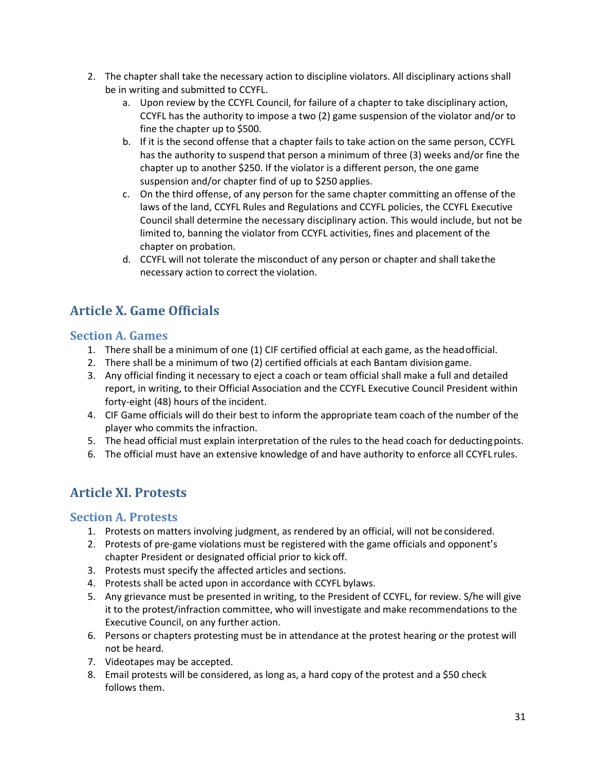- 2. The chapter shall take the necessary action to discipline violators. All disciplinary actions shall be in writing and submitted to CCYFL.
	- a. Upon review by the CCYFL Council, for failure of a chapter to take disciplinary action, CCYFL has the authority to impose a two (2) game suspension of the violator and/or to fine the chapter up to \$500.
	- b. If it is the second offense that a chapter fails to take action on the same person, CCYFL has the authority to suspend that person a minimum of three (3) weeks and/or fine the chapter up to another \$250. If the violator is a different person, the one game suspension and/or chapter find of up to \$250 applies.
	- c. On the third offense, of any person for the same chapter committing an offense of the laws of the land, CCYFL Rules and Regulations and CCYFL policies, the CCYFL Executive Council shall determine the necessary disciplinary action. This would include, but not be limited to, banning the violator from CCYFL activities, fines and placement of the chapter on probation.
	- d. CCYFL will not tolerate the misconduct of any person or chapter and shall takethe necessary action to correct the violation.

# <span id="page-30-0"></span>**Article X. Game Officials**

#### <span id="page-30-1"></span>**Section A. Games**

- 1. There shall be a minimum of one (1) CIF certified official at each game, as the headofficial.
- 2. There shall be a minimum of two (2) certified officials at each Bantam division game.
- 3. Any official finding it necessary to eject a coach or team official shall make a full and detailed report, in writing, to their Official Association and the CCYFL Executive Council President within forty-eight (48) hours of the incident.
- 4. CIF Game officials will do their best to inform the appropriate team coach of the number of the player who commits the infraction.
- 5. The head official must explain interpretation of the rules to the head coach for deductingpoints.
- 6. The official must have an extensive knowledge of and have authority to enforce all CCYFL rules.

# <span id="page-30-2"></span>**Article XI. Protests**

#### <span id="page-30-3"></span>**Section A. Protests**

- 1. Protests on matters involving judgment, as rendered by an official, will not be considered.
- 2. Protests of pre-game violations must be registered with the game officials and opponent's chapter President or designated official prior to kick off.
- 3. Protests must specify the affected articles and sections.
- 4. Protests shall be acted upon in accordance with CCYFL bylaws.
- 5. Any grievance must be presented in writing, to the President of CCYFL, for review. S/he will give it to the protest/infraction committee, who will investigate and make recommendations to the Executive Council, on any further action.
- 6. Persons or chapters protesting must be in attendance at the protest hearing or the protest will not be heard.
- 7. Videotapes may be accepted.
- 8. Email protests will be considered, as long as, a hard copy of the protest and a \$50 check follows them.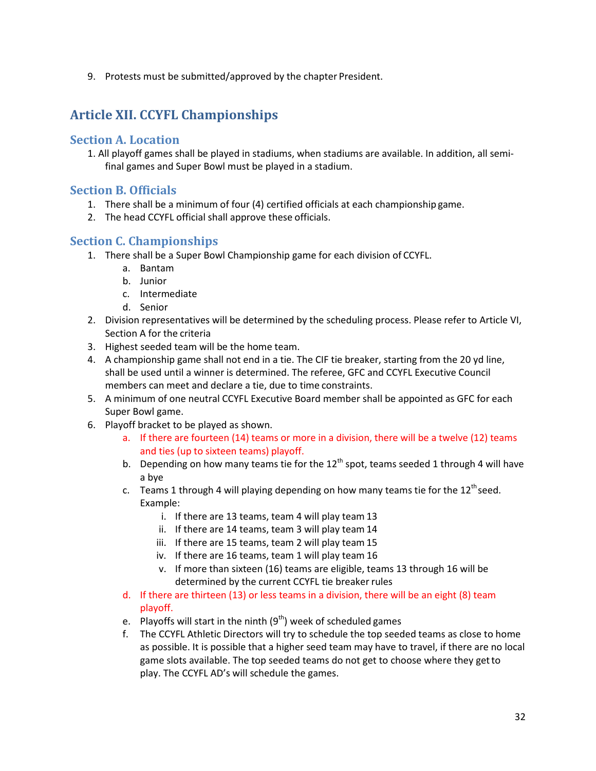9. Protests must be submitted/approved by the chapter President.

# <span id="page-31-0"></span>**Article XII. CCYFL Championships**

#### <span id="page-31-1"></span>**Section A. Location**

1. All playoff games shall be played in stadiums, when stadiums are available. In addition, all semifinal games and Super Bowl must be played in a stadium.

#### <span id="page-31-2"></span>**Section B. Officials**

- 1. There shall be a minimum of four (4) certified officials at each championship game.
- 2. The head CCYFL official shall approve these officials.

#### <span id="page-31-3"></span>**Section C. Championships**

- 1. There shall be a Super Bowl Championship game for each division of CCYFL.
	- a. Bantam
	- b. Junior
	- c. Intermediate
	- d. Senior
- 2. Division representatives will be determined by the scheduling process. Please refer to Article VI, Section A for the criteria
- 3. Highest seeded team will be the home team.
- 4. A championship game shall not end in a tie. The CIF tie breaker, starting from the 20 yd line, shall be used until a winner is determined. The referee, GFC and CCYFL Executive Council members can meet and declare a tie, due to time constraints.
- 5. A minimum of one neutral CCYFL Executive Board member shall be appointed as GFC for each Super Bowl game.
- 6. Playoff bracket to be played as shown.
	- a. If there are fourteen (14) teams or more in a division, there will be a twelve (12) teams and ties (up to sixteen teams) playoff.
	- b. Depending on how many teams tie for the  $12<sup>th</sup>$  spot, teams seeded 1 through 4 will have a bye
	- c. Teams 1 through 4 will playing depending on how many teams tie for the  $12<sup>th</sup>$  seed. Example:
		- i. If there are 13 teams, team 4 will play team 13
		- ii. If there are 14 teams, team 3 will play team 14
		- iii. If there are 15 teams, team 2 will play team 15
		- iv. If there are 16 teams, team 1 will play team 16
		- v. If more than sixteen (16) teams are eligible, teams 13 through 16 will be determined by the current CCYFL tie breaker rules
	- d. If there are thirteen (13) or less teams in a division, there will be an eight (8) team playoff.
	- e. Playoffs will start in the ninth  $(9<sup>th</sup>)$  week of scheduled games
	- f. The CCYFL Athletic Directors will try to schedule the top seeded teams as close to home as possible. It is possible that a higher seed team may have to travel, if there are no local game slots available. The top seeded teams do not get to choose where they getto play. The CCYFL AD's will schedule the games.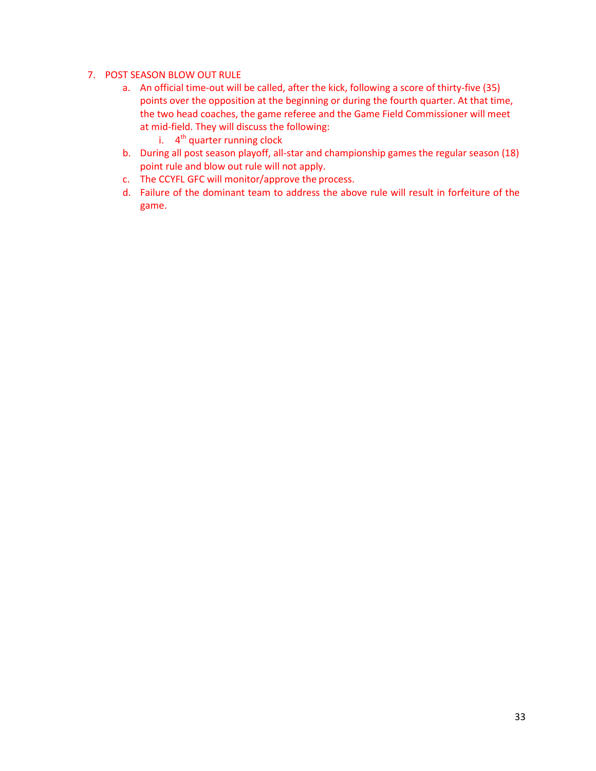#### 7. POST SEASON BLOW OUT RULE

- a. An official time-out will be called, after the kick, following a score of thirty-five (35) points over the opposition at the beginning or during the fourth quarter. At that time, the two head coaches, the game referee and the Game Field Commissioner will meet at mid-field. They will discuss the following:
	- i.  $4<sup>th</sup>$  quarter running clock
- b. During all post season playoff, all-star and championship games the regular season (18) point rule and blow out rule will not apply.
- c. The CCYFL GFC will monitor/approve the process.
- d. Failure of the dominant team to address the above rule will result in forfeiture of the game.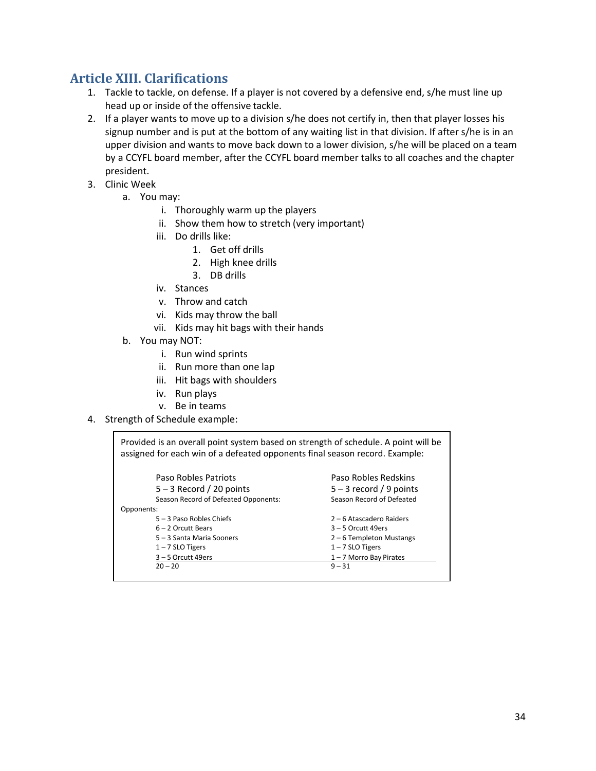# <span id="page-33-0"></span>**Article XIII. Clarifications**

- 1. Tackle to tackle, on defense. If a player is not covered by a defensive end, s/he must line up head up or inside of the offensive tackle.
- 2. If a player wants to move up to a division s/he does not certify in, then that player losses his signup number and is put at the bottom of any waiting list in that division. If after s/he is in an upper division and wants to move back down to a lower division, s/he will be placed on a team by a CCYFL board member, after the CCYFL board member talks to all coaches and the chapter president.
- 3. Clinic Week
	- a. You may:
		- i. Thoroughly warm up the players
		- ii. Show them how to stretch (very important)
		- iii. Do drills like:
			- 1. Get off drills
			- 2. High knee drills
			- 3. DB drills
		- iv. Stances
		- v. Throw and catch
		- vi. Kids may throw the ball
		- vii. Kids may hit bags with their hands
	- b. You may NOT:
		- i. Run wind sprints
		- ii. Run more than one lap
		- iii. Hit bags with shoulders
		- iv. Run plays
		- v. Be in teams
- 4. Strength of Schedule example:

| Provided is an overall point system based on strength of schedule. A point will be<br>assigned for each win of a defeated opponents final season record. Example: |                           |  |  |  |
|-------------------------------------------------------------------------------------------------------------------------------------------------------------------|---------------------------|--|--|--|
| Paso Robles Patriots                                                                                                                                              | Paso Robles Redskins      |  |  |  |
| $5 - 3$ Record / 20 points                                                                                                                                        | $5 - 3$ record / 9 points |  |  |  |
| Season Record of Defeated Opponents:                                                                                                                              | Season Record of Defeated |  |  |  |
| Opponents:                                                                                                                                                        |                           |  |  |  |
| 5 - 3 Paso Robles Chiefs                                                                                                                                          | 2 – 6 Atascadero Raiders  |  |  |  |
| $6 - 2$ Orcutt Bears                                                                                                                                              | $3 - 5$ Orcutt 49ers      |  |  |  |
| 5 - 3 Santa Maria Sooners                                                                                                                                         | 2 - 6 Templeton Mustangs  |  |  |  |
| $1 - 7$ SLO Tigers                                                                                                                                                | $1 - 7$ SLO Tigers        |  |  |  |
| $3 - 5$ Orcutt 49ers                                                                                                                                              | $1 - 7$ Morro Bay Pirates |  |  |  |
| $20 - 20$                                                                                                                                                         | $9 - 31$                  |  |  |  |
|                                                                                                                                                                   |                           |  |  |  |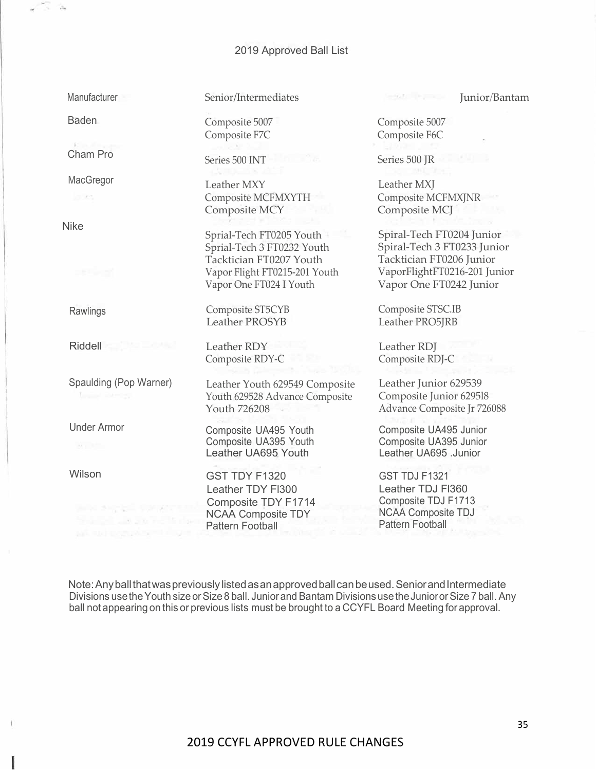#### 2019 Approved Ball List

**Manufacturer** 

Baden

Cham Pro

MacGregor

company.

Nike

**Rawlings** 

Riddell

Spaulding (Pop Warner)

Under Armor

**Wilson** 

Senior/Intermediates

Composite 5007 Composite F7C

Series 500 INT

Leather MXY Composite MCFMXYTH Composite MCY

Sprial-Tech FT0205 Youth Sprial-Tech 3 FT0232 Youth Tacktician FT0207 Youth Vapor Flight FT0215-201 Youth Vapor One FT024 I Youth

Composite ST5CYB Leather PROSYB

Leather RDY Composite RDY-C

Leather Youth 629549 Composite Youth 629528 Advance Composite Youth 726208

Composite UA495 Youth Composite UA395 Youth Leather UA695 Youth

GST TDY F1320 Leather TDY Fl300 Composite TDY F1714 NCAA Composite TDY Pattern Football

Junior/Bantam

Composite 5007 Composite F6C

 $\label{eq:3.1} \begin{array}{ll} \displaystyle -2\Delta L & \displaystyle 0<\alpha\end{array}$ 

Series 500 JR

Leather MXJ Composite MCFMXJNR Composite MCJ

Spiral-Tech FT0204 Junior Spiral-Tech 3 FT0233 Junior Tacktician FT0206 Junior VaporFlightFT0216-201 Junior Vapor One FT0242 Junior

Composite STSC.IB Leather PRO5JRB

Leather RDJ Composite RDJ-C

Leather Junior 629539 Composite Junior 6295l8 Advance Composite Jr 726088

Composite UA495 Junior Composite UA395 Junior Leather UA695 .Junior

GST TDJ F1321 Leather TDJ Fl360 Composite TDJ F1713 NCAA Composite TDJ Pattern Football

Note: Any ball that was previously listed as an approved ball can be used. Senior and Intermediate Divisions use the Youth size or Size 8 ball. Junior and Bantam Divisions use the Junior or Size 7 ball. Any ball not appearing on this or previous lists must be brought to a CCYFL Board Meeting for approval.